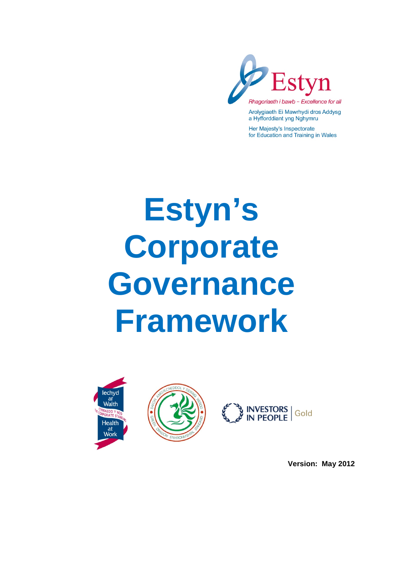

Arolygiaeth Ei Mawrhydi dros Addysg a Hyfforddiant yng Nghymru

Her Majesty's Inspectorate for Education and Training in Wales

# **Estyn's Corporate Governance Framework**







**Version: May 2012**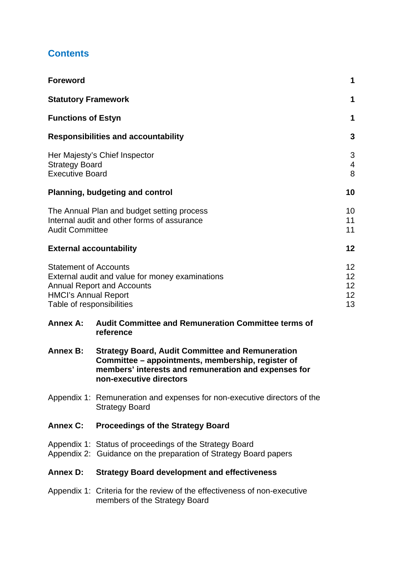## **Contents**

| <b>Foreword</b>                                                                          |                                                                                                                                                                                                 | 1                          |
|------------------------------------------------------------------------------------------|-------------------------------------------------------------------------------------------------------------------------------------------------------------------------------------------------|----------------------------|
| <b>Statutory Framework</b>                                                               |                                                                                                                                                                                                 | 1                          |
| <b>Functions of Estyn</b>                                                                |                                                                                                                                                                                                 | 1                          |
|                                                                                          | <b>Responsibilities and accountability</b>                                                                                                                                                      | $\mathbf{3}$               |
| <b>Strategy Board</b><br><b>Executive Board</b>                                          | Her Majesty's Chief Inspector                                                                                                                                                                   | 3<br>$\overline{4}$<br>8   |
|                                                                                          | <b>Planning, budgeting and control</b>                                                                                                                                                          | 10                         |
| <b>Audit Committee</b>                                                                   | The Annual Plan and budget setting process<br>Internal audit and other forms of assurance                                                                                                       | 10<br>11<br>11             |
| <b>External accountability</b>                                                           |                                                                                                                                                                                                 | 12                         |
| <b>Statement of Accounts</b><br><b>HMCI's Annual Report</b><br>Table of responsibilities | External audit and value for money examinations<br><b>Annual Report and Accounts</b>                                                                                                            | 12<br>12<br>12<br>12<br>13 |
| <b>Annex A:</b>                                                                          | <b>Audit Committee and Remuneration Committee terms of</b><br>reference                                                                                                                         |                            |
| <b>Annex B:</b>                                                                          | <b>Strategy Board, Audit Committee and Remuneration</b><br>Committee – appointments, membership, register of<br>members' interests and remuneration and expenses for<br>non-executive directors |                            |
|                                                                                          | Appendix 1: Remuneration and expenses for non-executive directors of the<br><b>Strategy Board</b>                                                                                               |                            |
|                                                                                          | Annex C: Proceedings of the Strategy Board                                                                                                                                                      |                            |
|                                                                                          | Appendix 1: Status of proceedings of the Strategy Board<br>Appendix 2: Guidance on the preparation of Strategy Board papers                                                                     |                            |
| <b>Annex D:</b>                                                                          | <b>Strategy Board development and effectiveness</b>                                                                                                                                             |                            |
|                                                                                          | Appendix 1: Criteria for the review of the effectiveness of non-executive<br>members of the Strategy Board                                                                                      |                            |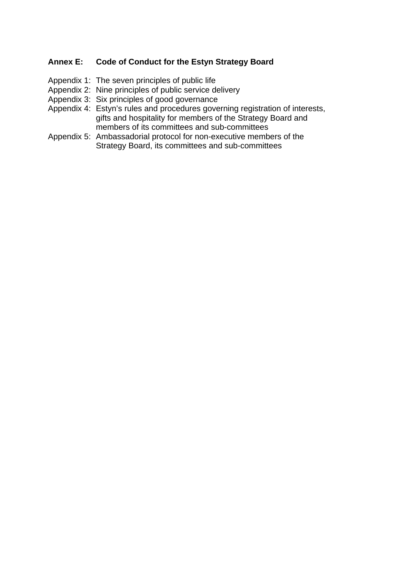#### **Annex E: Code of Conduct for the Estyn Strategy Board**

- Appendix 1: The seven principles of public life
- Appendix 2: Nine principles of public service delivery
- Appendix 3: Six principles of good governance
- Appendix 4: Estyn's rules and procedures governing registration of interests, gifts and hospitality for members of the Strategy Board and members of its committees and sub-committees
- Appendix 5: Ambassadorial protocol for non-executive members of the Strategy Board, its committees and sub-committees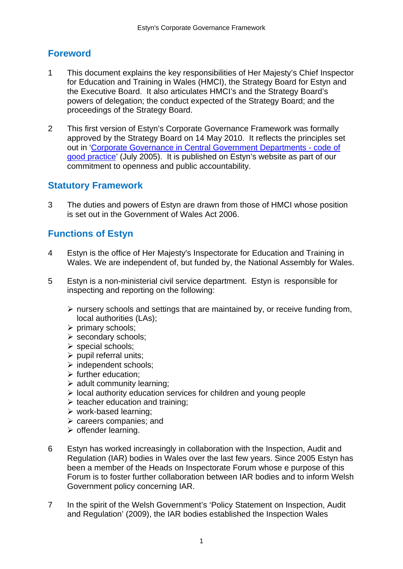## **Foreword**

- 1 This document explains the key responsibilities of Her Majesty's Chief Inspector for Education and Training in Wales (HMCI), the Strategy Board for Estyn and the Executive Board. It also articulates HMCI's and the Strategy Board's powers of delegation; the conduct expected of the Strategy Board; and the proceedings of the Strategy Board.
- 2 This first version of Estyn's Corporate Governance Framework was formally approved by the Strategy Board on 14 May 2010. It reflects the principles set out in 'Corporate Governance in Central Government Departments - code of good practice' (July 2005). It is published on Estyn's website as part of our commitment to openness and public accountability.

## **Statutory Framework**

3 The duties and powers of Estyn are drawn from those of HMCI whose position is set out in the Government of Wales Act 2006.

## **Functions of Estyn**

- 4 Estyn is the office of Her Majesty's Inspectorate for Education and Training in Wales. We are independent of, but funded by, the National Assembly for Wales.
- 5 Estyn is a non-ministerial civil service department. Estyn is responsible for inspecting and reporting on the following:
	- $\triangleright$  nursery schools and settings that are maintained by, or receive funding from, local authorities (LAs);
	- $\triangleright$  primary schools:
	- $\triangleright$  secondary schools:
	- $\triangleright$  special schools;
	- $\triangleright$  pupil referral units:
	- $\triangleright$  independent schools;
	- $\triangleright$  further education:
	- $\triangleright$  adult community learning;
	- $\triangleright$  local authority education services for children and young people
	- $\triangleright$  teacher education and training;
	- $\triangleright$  work-based learning:
	- $\triangleright$  careers companies; and
	- $\triangleright$  offender learning.
- 6 Estyn has worked increasingly in collaboration with the Inspection, Audit and Regulation (IAR) bodies in Wales over the last few years. Since 2005 Estyn has been a member of the Heads on Inspectorate Forum whose e purpose of this Forum is to foster further collaboration between IAR bodies and to inform Welsh Government policy concerning IAR.
- 7 In the spirit of the Welsh Government's 'Policy Statement on Inspection, Audit and Regulation' (2009), the IAR bodies established the Inspection Wales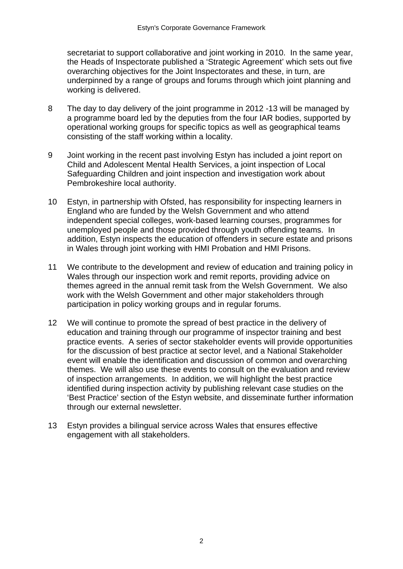secretariat to support collaborative and joint working in 2010. In the same year, the Heads of Inspectorate published a 'Strategic Agreement' which sets out five overarching objectives for the Joint Inspectorates and these, in turn, are underpinned by a range of groups and forums through which joint planning and working is delivered.

- 8 The day to day delivery of the joint programme in 2012 -13 will be managed by a programme board led by the deputies from the four IAR bodies, supported by operational working groups for specific topics as well as geographical teams consisting of the staff working within a locality.
- 9 Joint working in the recent past involving Estyn has included a joint report on Child and Adolescent Mental Health Services, a joint inspection of Local Safeguarding Children and joint inspection and investigation work about Pembrokeshire local authority.
- 10 Estyn, in partnership with Ofsted, has responsibility for inspecting learners in England who are funded by the Welsh Government and who attend independent special colleges, work-based learning courses, programmes for unemployed people and those provided through youth offending teams. In addition, Estyn inspects the education of offenders in secure estate and prisons in Wales through joint working with HMI Probation and HMI Prisons.
- 11 We contribute to the development and review of education and training policy in Wales through our inspection work and remit reports, providing advice on themes agreed in the annual remit task from the Welsh Government. We also work with the Welsh Government and other major stakeholders through participation in policy working groups and in regular forums.
- 12 We will continue to promote the spread of best practice in the delivery of education and training through our programme of inspector training and best practice events. A series of sector stakeholder events will provide opportunities for the discussion of best practice at sector level, and a National Stakeholder event will enable the identification and discussion of common and overarching themes. We will also use these events to consult on the evaluation and review of inspection arrangements. In addition, we will highlight the best practice identified during inspection activity by publishing relevant case studies on the 'Best Practice' section of the Estyn website, and disseminate further information through our external newsletter.
- 13 Estyn provides a bilingual service across Wales that ensures effective engagement with all stakeholders.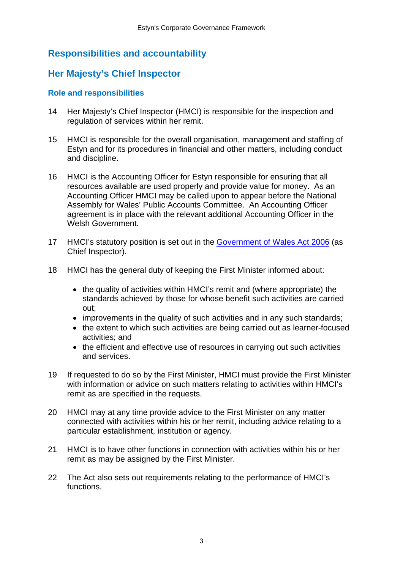## **Responsibilities and accountability**

## **Her Majesty's Chief Inspector**

#### **Role and responsibilities**

- 14 Her Majesty's Chief Inspector (HMCI) is responsible for the inspection and regulation of services within her remit.
- 15 HMCI is responsible for the overall organisation, management and staffing of Estyn and for its procedures in financial and other matters, including conduct and discipline.
- 16 HMCI is the Accounting Officer for Estyn responsible for ensuring that all resources available are used properly and provide value for money. As an Accounting Officer HMCI may be called upon to appear before the National Assembly for Wales' Public Accounts Committee. An Accounting Officer agreement is in place with the relevant additional Accounting Officer in the Welsh Government.
- 17 HMCI's statutory position is set out in the Government of Wales Act 2006 (as Chief Inspector).
- 18 HMCI has the general duty of keeping the First Minister informed about:
	- the quality of activities within HMCI's remit and (where appropriate) the standards achieved by those for whose benefit such activities are carried out;
	- improvements in the quality of such activities and in any such standards;
	- the extent to which such activities are being carried out as learner-focused activities; and
	- the efficient and effective use of resources in carrying out such activities and services.
- 19 If requested to do so by the First Minister, HMCI must provide the First Minister with information or advice on such matters relating to activities within HMCI's remit as are specified in the requests.
- 20 HMCI may at any time provide advice to the First Minister on any matter connected with activities within his or her remit, including advice relating to a particular establishment, institution or agency.
- 21 HMCI is to have other functions in connection with activities within his or her remit as may be assigned by the First Minister.
- 22 The Act also sets out requirements relating to the performance of HMCI's functions.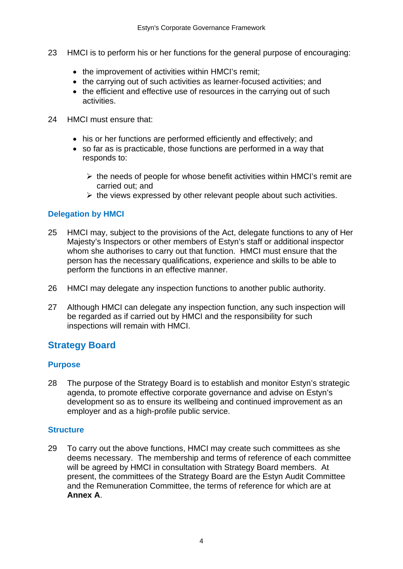- 23 HMCI is to perform his or her functions for the general purpose of encouraging:
	- the improvement of activities within HMCI's remit:
	- the carrying out of such activities as learner-focused activities; and
	- the efficient and effective use of resources in the carrying out of such activities.
- 24 HMCI must ensure that:
	- his or her functions are performed efficiently and effectively; and
	- so far as is practicable, those functions are performed in a way that responds to:
		- $\triangleright$  the needs of people for whose benefit activities within HMCI's remit are carried out; and
		- $\triangleright$  the views expressed by other relevant people about such activities.

#### **Delegation by HMCI**

- 25 HMCI may, subject to the provisions of the Act, delegate functions to any of Her Majesty's Inspectors or other members of Estyn's staff or additional inspector whom she authorises to carry out that function. HMCI must ensure that the person has the necessary qualifications, experience and skills to be able to perform the functions in an effective manner.
- 26 HMCI may delegate any inspection functions to another public authority.
- 27 Although HMCI can delegate any inspection function, any such inspection will be regarded as if carried out by HMCI and the responsibility for such inspections will remain with HMCI.

## **Strategy Board**

#### **Purpose**

28 The purpose of the Strategy Board is to establish and monitor Estyn's strategic agenda, to promote effective corporate governance and advise on Estyn's development so as to ensure its wellbeing and continued improvement as an employer and as a high-profile public service.

#### **Structure**

29 To carry out the above functions, HMCI may create such committees as she deems necessary. The membership and terms of reference of each committee will be agreed by HMCI in consultation with Strategy Board members. At present, the committees of the Strategy Board are the Estyn Audit Committee and the Remuneration Committee, the terms of reference for which are at **Annex A**.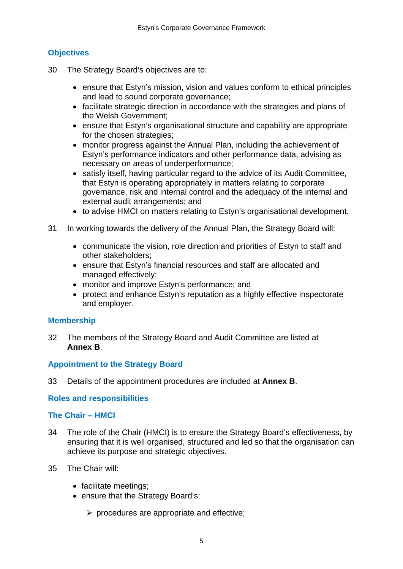## **Objectives**

- 30 The Strategy Board's objectives are to:
	- ensure that Estyn's mission, vision and values conform to ethical principles and lead to sound corporate governance;
	- facilitate strategic direction in accordance with the strategies and plans of the Welsh Government;
	- ensure that Estyn's organisational structure and capability are appropriate for the chosen strategies;
	- monitor progress against the Annual Plan, including the achievement of Estyn's performance indicators and other performance data, advising as necessary on areas of underperformance;
	- satisfy itself, having particular regard to the advice of its Audit Committee, that Estyn is operating appropriately in matters relating to corporate governance, risk and internal control and the adequacy of the internal and external audit arrangements; and
	- to advise HMCI on matters relating to Estyn's organisational development.
- 31 In working towards the delivery of the Annual Plan, the Strategy Board will:
	- communicate the vision, role direction and priorities of Estyn to staff and other stakeholders;
	- ensure that Estyn's financial resources and staff are allocated and managed effectively;
	- monitor and improve Estyn's performance; and
	- protect and enhance Estyn's reputation as a highly effective inspectorate and employer.

#### **Membership**

32 The members of the Strategy Board and Audit Committee are listed at **Annex B**.

#### **Appointment to the Strategy Board**

33 Details of the appointment procedures are included at **Annex B**.

#### **Roles and responsibilities**

#### **The Chair – HMCI**

- 34 The role of the Chair (HMCI) is to ensure the Strategy Board's effectiveness, by ensuring that it is well organised, structured and led so that the organisation can achieve its purpose and strategic objectives.
- 35 The Chair will:
	- facilitate meetings;
	- ensure that the Strategy Board's:
		- $\triangleright$  procedures are appropriate and effective;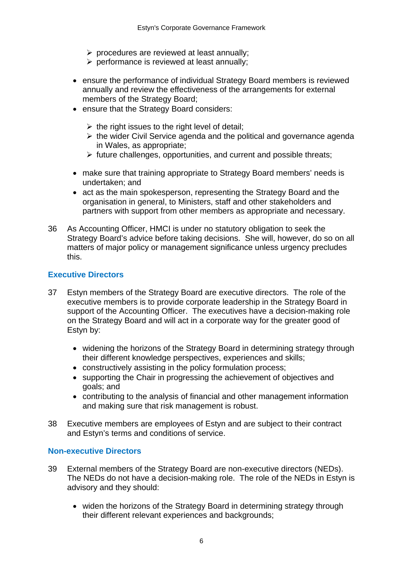- $\triangleright$  procedures are reviewed at least annually;
- $\triangleright$  performance is reviewed at least annually;
- ensure the performance of individual Strategy Board members is reviewed annually and review the effectiveness of the arrangements for external members of the Strategy Board;
- ensure that the Strategy Board considers:
	- $\triangleright$  the right issues to the right level of detail;
	- $\triangleright$  the wider Civil Service agenda and the political and governance agenda in Wales, as appropriate;
	- $\triangleright$  future challenges, opportunities, and current and possible threats;
- make sure that training appropriate to Strategy Board members' needs is undertaken; and
- act as the main spokesperson, representing the Strategy Board and the organisation in general, to Ministers, staff and other stakeholders and partners with support from other members as appropriate and necessary.
- 36 As Accounting Officer, HMCI is under no statutory obligation to seek the Strategy Board's advice before taking decisions. She will, however, do so on all matters of major policy or management significance unless urgency precludes this.

#### **Executive Directors**

- 37 Estyn members of the Strategy Board are executive directors. The role of the executive members is to provide corporate leadership in the Strategy Board in support of the Accounting Officer. The executives have a decision-making role on the Strategy Board and will act in a corporate way for the greater good of Estyn by:
	- widening the horizons of the Strategy Board in determining strategy through their different knowledge perspectives, experiences and skills;
	- constructively assisting in the policy formulation process;
	- supporting the Chair in progressing the achievement of objectives and goals; and
	- contributing to the analysis of financial and other management information and making sure that risk management is robust.
- 38 Executive members are employees of Estyn and are subject to their contract and Estyn's terms and conditions of service.

#### **Non-executive Directors**

- 39 External members of the Strategy Board are non-executive directors (NEDs). The NEDs do not have a decision-making role. The role of the NEDs in Estyn is advisory and they should:
	- widen the horizons of the Strategy Board in determining strategy through their different relevant experiences and backgrounds: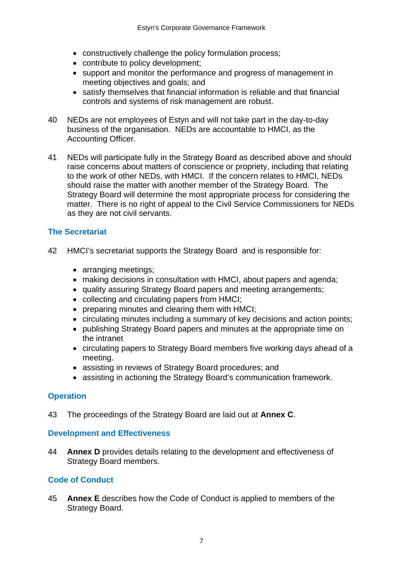- constructively challenge the policy formulation process;
- contribute to policy development;
- support and monitor the performance and progress of management in meeting objectives and goals; and
- satisfy themselves that financial information is reliable and that financial controls and systems of risk management are robust.
- 40 NEDs are not employees of Estyn and will not take part in the day-to-day business of the organisation. NEDs are accountable to HMCI, as the Accounting Officer.
- 41 NEDs will participate fully in the Strategy Board as described above and should raise concerns about matters of conscience or propriety, including that relating to the work of other NEDs, with HMCI. If the concern relates to HMCI, NEDs should raise the matter with another member of the Strategy Board. The Strategy Board will determine the most appropriate process for considering the matter. There is no right of appeal to the Civil Service Commissioners for NEDs as they are not civil servants.

#### **The Secretariat**

- 42 HMCI's secretariat supports the Strategy Board and is responsible for:
	- arranging meetings;
	- making decisions in consultation with HMCI, about papers and agenda;
	- quality assuring Strategy Board papers and meeting arrangements;
	- collecting and circulating papers from HMCI;
	- preparing minutes and clearing them with HMCI;
	- circulating minutes including a summary of key decisions and action points;
	- publishing Strategy Board papers and minutes at the appropriate time on the intranet
	- circulating papers to Strategy Board members five working days ahead of a meeting.
	- assisting in reviews of Strategy Board procedures; and
	- assisting in actioning the Strategy Board's communication framework.

#### **Operation**

43 The proceedings of the Strategy Board are laid out at **Annex C**.

#### **Development and Effectiveness**

44 **Annex D** provides details relating to the development and effectiveness of Strategy Board members.

#### **Code of Conduct**

45 **Annex E** describes how the Code of Conduct is applied to members of the Strategy Board.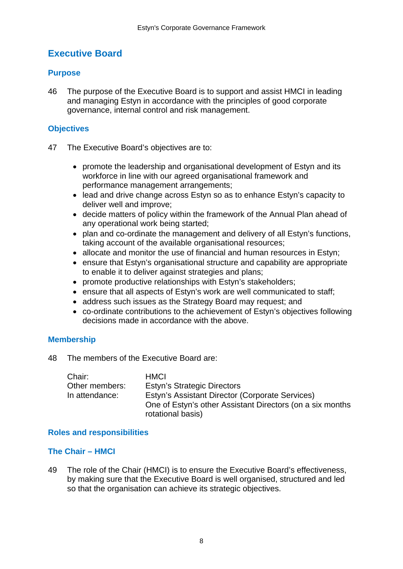## **Executive Board**

#### **Purpose**

46 The purpose of the Executive Board is to support and assist HMCI in leading and managing Estyn in accordance with the principles of good corporate governance, internal control and risk management.

#### **Objectives**

- 47 The Executive Board's objectives are to:
	- promote the leadership and organisational development of Estyn and its workforce in line with our agreed organisational framework and performance management arrangements;
	- lead and drive change across Estyn so as to enhance Estyn's capacity to deliver well and improve;
	- decide matters of policy within the framework of the Annual Plan ahead of any operational work being started;
	- plan and co-ordinate the management and delivery of all Estyn's functions, taking account of the available organisational resources;
	- allocate and monitor the use of financial and human resources in Estyn;
	- ensure that Estyn's organisational structure and capability are appropriate to enable it to deliver against strategies and plans;
	- promote productive relationships with Estyn's stakeholders;
	- ensure that all aspects of Estyn's work are well communicated to staff;
	- address such issues as the Strategy Board may request; and
	- co-ordinate contributions to the achievement of Estyn's objectives following decisions made in accordance with the above.

#### **Membership**

48 The members of the Executive Board are:

| Chair:         | <b>HMCI</b>                                               |
|----------------|-----------------------------------------------------------|
| Other members: | <b>Estyn's Strategic Directors</b>                        |
| In attendance: | Estyn's Assistant Director (Corporate Services)           |
|                | One of Estyn's other Assistant Directors (on a six months |
|                | rotational basis)                                         |

#### **Roles and responsibilities**

#### **The Chair – HMCI**

49 The role of the Chair (HMCI) is to ensure the Executive Board's effectiveness, by making sure that the Executive Board is well organised, structured and led so that the organisation can achieve its strategic objectives.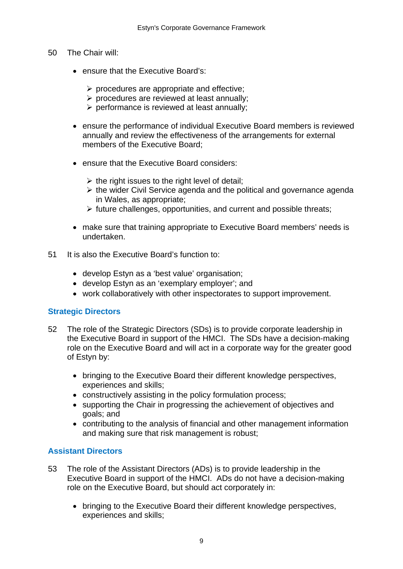- 50 The Chair will:
	- ensure that the Executive Board's:
		- $\triangleright$  procedures are appropriate and effective;
		- $\triangleright$  procedures are reviewed at least annually;
		- $\triangleright$  performance is reviewed at least annually:
	- ensure the performance of individual Executive Board members is reviewed annually and review the effectiveness of the arrangements for external members of the Executive Board;
	- ensure that the Executive Board considers:
		- $\triangleright$  the right issues to the right level of detail;
		- $\triangleright$  the wider Civil Service agenda and the political and governance agenda in Wales, as appropriate;
		- $\triangleright$  future challenges, opportunities, and current and possible threats;
	- make sure that training appropriate to Executive Board members' needs is undertaken.
- 51 It is also the Executive Board's function to:
	- develop Estyn as a 'best value' organisation;
	- develop Estyn as an 'exemplary employer'; and
	- work collaboratively with other inspectorates to support improvement.

#### **Strategic Directors**

- 52 The role of the Strategic Directors (SDs) is to provide corporate leadership in the Executive Board in support of the HMCI. The SDs have a decision-making role on the Executive Board and will act in a corporate way for the greater good of Estyn by:
	- bringing to the Executive Board their different knowledge perspectives, experiences and skills;
	- constructively assisting in the policy formulation process;
	- supporting the Chair in progressing the achievement of objectives and goals; and
	- contributing to the analysis of financial and other management information and making sure that risk management is robust;

#### **Assistant Directors**

- 53 The role of the Assistant Directors (ADs) is to provide leadership in the Executive Board in support of the HMCI. ADs do not have a decision-making role on the Executive Board, but should act corporately in:
	- bringing to the Executive Board their different knowledge perspectives, experiences and skills;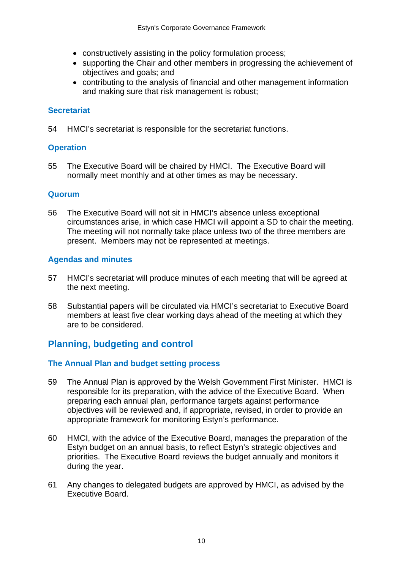- constructively assisting in the policy formulation process;
- supporting the Chair and other members in progressing the achievement of objectives and goals; and
- contributing to the analysis of financial and other management information and making sure that risk management is robust;

#### **Secretariat**

54 HMCI's secretariat is responsible for the secretariat functions.

#### **Operation**

55 The Executive Board will be chaired by HMCI. The Executive Board will normally meet monthly and at other times as may be necessary.

#### **Quorum**

56 The Executive Board will not sit in HMCI's absence unless exceptional circumstances arise, in which case HMCI will appoint a SD to chair the meeting. The meeting will not normally take place unless two of the three members are present. Members may not be represented at meetings.

#### **Agendas and minutes**

- 57 HMCI's secretariat will produce minutes of each meeting that will be agreed at the next meeting.
- 58 Substantial papers will be circulated via HMCI's secretariat to Executive Board members at least five clear working days ahead of the meeting at which they are to be considered.

## **Planning, budgeting and control**

#### **The Annual Plan and budget setting process**

- 59 The Annual Plan is approved by the Welsh Government First Minister. HMCI is responsible for its preparation, with the advice of the Executive Board. When preparing each annual plan, performance targets against performance objectives will be reviewed and, if appropriate, revised, in order to provide an appropriate framework for monitoring Estyn's performance.
- 60 HMCI, with the advice of the Executive Board, manages the preparation of the Estyn budget on an annual basis, to reflect Estyn's strategic objectives and priorities. The Executive Board reviews the budget annually and monitors it during the year.
- 61 Any changes to delegated budgets are approved by HMCI, as advised by the Executive Board.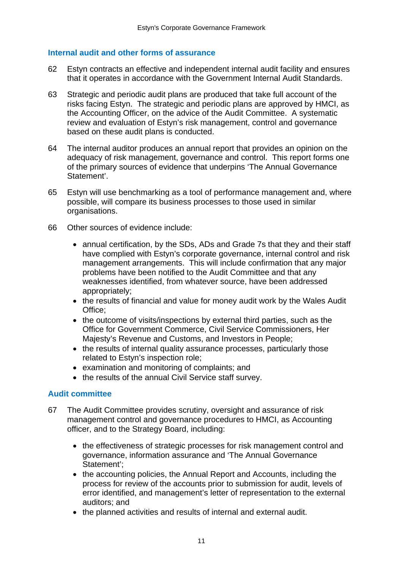#### **Internal audit and other forms of assurance**

- 62 Estyn contracts an effective and independent internal audit facility and ensures that it operates in accordance with the Government Internal Audit Standards.
- 63 Strategic and periodic audit plans are produced that take full account of the risks facing Estyn. The strategic and periodic plans are approved by HMCI, as the Accounting Officer, on the advice of the Audit Committee. A systematic review and evaluation of Estyn's risk management, control and governance based on these audit plans is conducted.
- 64 The internal auditor produces an annual report that provides an opinion on the adequacy of risk management, governance and control. This report forms one of the primary sources of evidence that underpins 'The Annual Governance Statement'.
- 65 Estyn will use benchmarking as a tool of performance management and, where possible, will compare its business processes to those used in similar organisations.
- 66 Other sources of evidence include:
	- annual certification, by the SDs, ADs and Grade 7s that they and their staff have complied with Estyn's corporate governance, internal control and risk management arrangements. This will include confirmation that any major problems have been notified to the Audit Committee and that any weaknesses identified, from whatever source, have been addressed appropriately;
	- the results of financial and value for money audit work by the Wales Audit Office;
	- the outcome of visits/inspections by external third parties, such as the Office for Government Commerce, Civil Service Commissioners, Her Majesty's Revenue and Customs, and Investors in People;
	- the results of internal quality assurance processes, particularly those related to Estyn's inspection role;
	- examination and monitoring of complaints; and
	- the results of the annual Civil Service staff survey.

#### **Audit committee**

- 67 The Audit Committee provides scrutiny, oversight and assurance of risk management control and governance procedures to HMCI, as Accounting officer, and to the Strategy Board, including:
	- the effectiveness of strategic processes for risk management control and governance, information assurance and 'The Annual Governance Statement';
	- the accounting policies, the Annual Report and Accounts, including the process for review of the accounts prior to submission for audit, levels of error identified, and management's letter of representation to the external auditors; and
	- the planned activities and results of internal and external audit.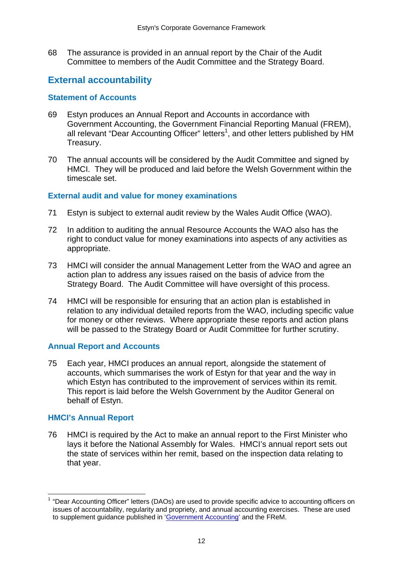68 The assurance is provided in an annual report by the Chair of the Audit Committee to members of the Audit Committee and the Strategy Board.

## **External accountability**

#### **Statement of Accounts**

- 69 Estyn produces an Annual Report and Accounts in accordance with Government Accounting, the Government Financial Reporting Manual (FREM), all relevant "Dear Accounting Officer" letters<sup>1</sup>, and other letters published by HM Treasury.
- 70 The annual accounts will be considered by the Audit Committee and signed by HMCI. They will be produced and laid before the Welsh Government within the timescale set.

#### **External audit and value for money examinations**

- 71 Estyn is subject to external audit review by the Wales Audit Office (WAO).
- 72 In addition to auditing the annual Resource Accounts the WAO also has the right to conduct value for money examinations into aspects of any activities as appropriate.
- 73 HMCI will consider the annual Management Letter from the WAO and agree an action plan to address any issues raised on the basis of advice from the Strategy Board. The Audit Committee will have oversight of this process.
- 74 HMCI will be responsible for ensuring that an action plan is established in relation to any individual detailed reports from the WAO, including specific value for money or other reviews. Where appropriate these reports and action plans will be passed to the Strategy Board or Audit Committee for further scrutiny.

#### **Annual Report and Accounts**

75 Each year, HMCI produces an annual report, alongside the statement of accounts, which summarises the work of Estyn for that year and the way in which Estyn has contributed to the improvement of services within its remit. This report is laid before the Welsh Government by the Auditor General on behalf of Estyn.

#### **HMCI's Annual Report**

76 HMCI is required by the Act to make an annual report to the First Minister who lays it before the National Assembly for Wales. HMCI's annual report sets out the state of services within her remit, based on the inspection data relating to that year.

<sup>&</sup>lt;u> - Andreas Andreas Andreas Andreas Andreas Andreas Andreas Andreas Andreas Andreas Andreas Andreas Andreas Andr</u> 1 "Dear Accounting Officer" letters (DAOs) are used to provide specific advice to accounting officers on issues of accountability, regularity and propriety, and annual accounting exercises. These are used to supplement guidance published in 'Government Accounting' and the FReM.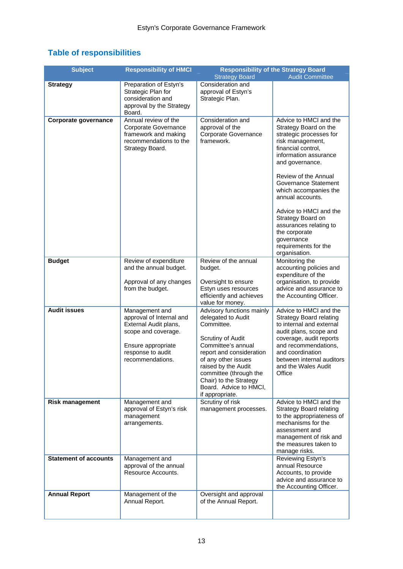| <b>Table of responsibilities</b> |  |
|----------------------------------|--|
|----------------------------------|--|

| <b>Subject</b>               | <b>Responsibility of HMCI</b>                                                                                                                             | <b>Strategy Board</b>                                                                                                                                                                                                                                                               | <b>Responsibility of the Strategy Board</b><br><b>Audit Committee</b>                                                                                                                                                                                                                                                                                                                                          |
|------------------------------|-----------------------------------------------------------------------------------------------------------------------------------------------------------|-------------------------------------------------------------------------------------------------------------------------------------------------------------------------------------------------------------------------------------------------------------------------------------|----------------------------------------------------------------------------------------------------------------------------------------------------------------------------------------------------------------------------------------------------------------------------------------------------------------------------------------------------------------------------------------------------------------|
| <b>Strategy</b>              | Preparation of Estyn's<br>Strategic Plan for<br>consideration and<br>approval by the Strategy<br>Board.                                                   | Consideration and<br>approval of Estyn's<br>Strategic Plan.                                                                                                                                                                                                                         |                                                                                                                                                                                                                                                                                                                                                                                                                |
| Corporate governance         | Annual review of the<br>Corporate Governance<br>framework and making<br>recommendations to the<br>Strategy Board.                                         | Consideration and<br>approval of the<br>Corporate Governance<br>framework.                                                                                                                                                                                                          | Advice to HMCI and the<br>Strategy Board on the<br>strategic processes for<br>risk management,<br>financial control,<br>information assurance<br>and governance.<br>Review of the Annual<br>Governance Statement<br>which accompanies the<br>annual accounts.<br>Advice to HMCI and the<br>Strategy Board on<br>assurances relating to<br>the corporate<br>governance<br>requirements for the<br>organisation. |
| <b>Budget</b>                | Review of expenditure<br>and the annual budget.<br>Approval of any changes<br>from the budget.                                                            | Review of the annual<br>budget.<br>Oversight to ensure<br>Estyn uses resources<br>efficiently and achieves<br>value for money.                                                                                                                                                      | Monitoring the<br>accounting policies and<br>expenditure of the<br>organisation, to provide<br>advice and assurance to<br>the Accounting Officer.                                                                                                                                                                                                                                                              |
| <b>Audit issues</b>          | Management and<br>approval of Internal and<br>External Audit plans,<br>scope and coverage.<br>Ensure appropriate<br>response to audit<br>recommendations. | Advisory functions mainly<br>delegated to Audit<br>Committee.<br>Scrutiny of Audit<br>Committee's annual<br>report and consideration<br>of any other issues<br>raised by the Audit<br>committee (through the<br>Chair) to the Strategy<br>Board. Advice to HMCI,<br>if appropriate. | Advice to HMCI and the<br><b>Strategy Board relating</b><br>to internal and external<br>audit plans, scope and<br>coverage, audit reports<br>and recommendations,<br>and coordination<br>between internal auditors<br>and the Wales Audit<br>Office                                                                                                                                                            |
| <b>Risk management</b>       | Management and<br>approval of Estyn's risk<br>management<br>arrangements.                                                                                 | Scrutiny of risk<br>management processes.                                                                                                                                                                                                                                           | Advice to HMCI and the<br><b>Strategy Board relating</b><br>to the appropriateness of<br>mechanisms for the<br>assessment and<br>management of risk and<br>the measures taken to<br>manage risks.                                                                                                                                                                                                              |
| <b>Statement of accounts</b> | Management and<br>approval of the annual<br>Resource Accounts.                                                                                            |                                                                                                                                                                                                                                                                                     | Reviewing Estyn's<br>annual Resource<br>Accounts, to provide<br>advice and assurance to<br>the Accounting Officer.                                                                                                                                                                                                                                                                                             |
| <b>Annual Report</b>         | Management of the<br>Annual Report.                                                                                                                       | Oversight and approval<br>of the Annual Report.                                                                                                                                                                                                                                     |                                                                                                                                                                                                                                                                                                                                                                                                                |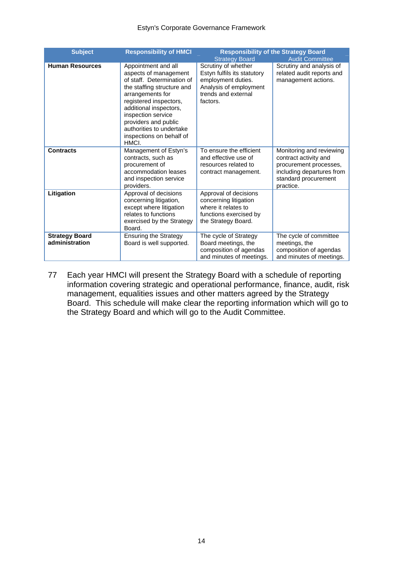#### Estyn's Corporate Governance Framework

| <b>Subject</b>                          | <b>Responsibility of HMCI</b>                                                                                                                                                                                                                                                                   |                                                                                                                                       | <b>Responsibility of the Strategy Board</b>                                                                                                   |
|-----------------------------------------|-------------------------------------------------------------------------------------------------------------------------------------------------------------------------------------------------------------------------------------------------------------------------------------------------|---------------------------------------------------------------------------------------------------------------------------------------|-----------------------------------------------------------------------------------------------------------------------------------------------|
|                                         |                                                                                                                                                                                                                                                                                                 | <b>Strategy Board</b>                                                                                                                 | <b>Audit Committee</b>                                                                                                                        |
| <b>Human Resources</b>                  | Appointment and all<br>aspects of management<br>of staff. Determination of<br>the staffing structure and<br>arrangements for<br>registered inspectors,<br>additional inspectors,<br>inspection service<br>providers and public<br>authorities to undertake<br>inspections on behalf of<br>HMCI. | Scrutiny of whether<br>Estyn fulfils its statutory<br>employment duties.<br>Analysis of employment<br>trends and external<br>factors. | Scrutiny and analysis of<br>related audit reports and<br>management actions.                                                                  |
| <b>Contracts</b>                        | Management of Estyn's<br>contracts, such as<br>procurement of<br>accommodation leases<br>and inspection service<br>providers.                                                                                                                                                                   | To ensure the efficient<br>and effective use of<br>resources related to<br>contract management.                                       | Monitoring and reviewing<br>contract activity and<br>procurement processes,<br>including departures from<br>standard procurement<br>practice. |
| Litigation                              | Approval of decisions<br>concerning litigation,<br>except where litigation<br>relates to functions<br>exercised by the Strategy<br>Board.                                                                                                                                                       | Approval of decisions<br>concerning litigation<br>where it relates to<br>functions exercised by<br>the Strategy Board.                |                                                                                                                                               |
| <b>Strategy Board</b><br>administration | <b>Ensuring the Strategy</b><br>Board is well supported.                                                                                                                                                                                                                                        | The cycle of Strategy<br>Board meetings, the<br>composition of agendas<br>and minutes of meetings.                                    | The cycle of committee<br>meetings, the<br>composition of agendas<br>and minutes of meetings.                                                 |

77 Each year HMCI will present the Strategy Board with a schedule of reporting information covering strategic and operational performance, finance, audit, risk management, equalities issues and other matters agreed by the Strategy Board. This schedule will make clear the reporting information which will go to the Strategy Board and which will go to the Audit Committee.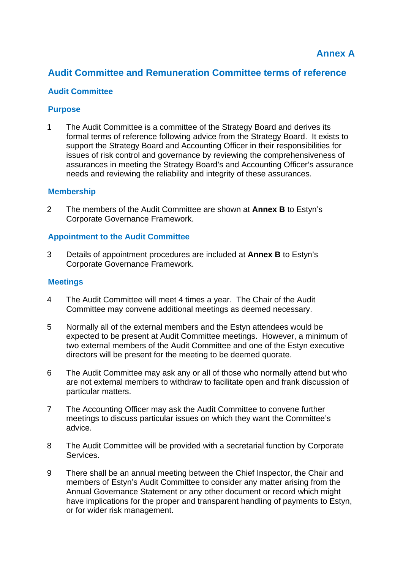## **Audit Committee and Remuneration Committee terms of reference**

#### **Audit Committee**

#### **Purpose**

1 The Audit Committee is a committee of the Strategy Board and derives its formal terms of reference following advice from the Strategy Board. It exists to support the Strategy Board and Accounting Officer in their responsibilities for issues of risk control and governance by reviewing the comprehensiveness of assurances in meeting the Strategy Board's and Accounting Officer's assurance needs and reviewing the reliability and integrity of these assurances.

#### **Membership**

2 The members of the Audit Committee are shown at **Annex B** to Estyn's Corporate Governance Framework.

#### **Appointment to the Audit Committee**

3 Details of appointment procedures are included at **Annex B** to Estyn's Corporate Governance Framework.

#### **Meetings**

- 4 The Audit Committee will meet 4 times a year. The Chair of the Audit Committee may convene additional meetings as deemed necessary.
- 5 Normally all of the external members and the Estyn attendees would be expected to be present at Audit Committee meetings. However, a minimum of two external members of the Audit Committee and one of the Estyn executive directors will be present for the meeting to be deemed quorate.
- 6 The Audit Committee may ask any or all of those who normally attend but who are not external members to withdraw to facilitate open and frank discussion of particular matters.
- 7 The Accounting Officer may ask the Audit Committee to convene further meetings to discuss particular issues on which they want the Committee's advice.
- 8 The Audit Committee will be provided with a secretarial function by Corporate Services.
- 9 There shall be an annual meeting between the Chief Inspector, the Chair and members of Estyn's Audit Committee to consider any matter arising from the Annual Governance Statement or any other document or record which might have implications for the proper and transparent handling of payments to Estyn, or for wider risk management.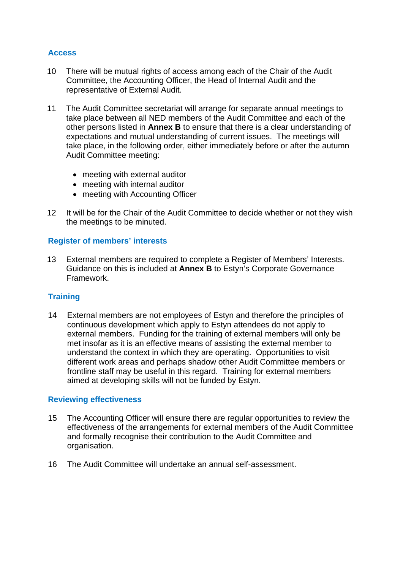#### **Access**

- 10 There will be mutual rights of access among each of the Chair of the Audit Committee, the Accounting Officer, the Head of Internal Audit and the representative of External Audit.
- 11 The Audit Committee secretariat will arrange for separate annual meetings to take place between all NED members of the Audit Committee and each of the other persons listed in **Annex B** to ensure that there is a clear understanding of expectations and mutual understanding of current issues. The meetings will take place, in the following order, either immediately before or after the autumn Audit Committee meeting:
	- meeting with external auditor
	- meeting with internal auditor
	- meeting with Accounting Officer
- 12 It will be for the Chair of the Audit Committee to decide whether or not they wish the meetings to be minuted.

#### **Register of members' interests**

13 External members are required to complete a Register of Members' Interests. Guidance on this is included at **Annex B** to Estyn's Corporate Governance Framework.

#### **Training**

14 External members are not employees of Estyn and therefore the principles of continuous development which apply to Estyn attendees do not apply to external members. Funding for the training of external members will only be met insofar as it is an effective means of assisting the external member to understand the context in which they are operating. Opportunities to visit different work areas and perhaps shadow other Audit Committee members or frontline staff may be useful in this regard. Training for external members aimed at developing skills will not be funded by Estyn.

#### **Reviewing effectiveness**

- 15 The Accounting Officer will ensure there are regular opportunities to review the effectiveness of the arrangements for external members of the Audit Committee and formally recognise their contribution to the Audit Committee and organisation.
- 16 The Audit Committee will undertake an annual self-assessment.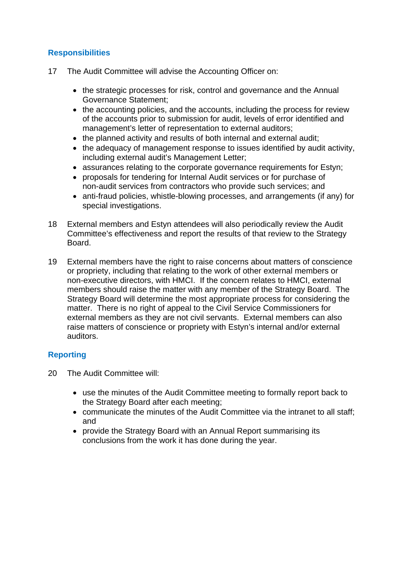#### **Responsibilities**

- 17 The Audit Committee will advise the Accounting Officer on:
	- the strategic processes for risk, control and governance and the Annual Governance Statement;
	- the accounting policies, and the accounts, including the process for review of the accounts prior to submission for audit, levels of error identified and management's letter of representation to external auditors;
	- the planned activity and results of both internal and external audit;
	- the adequacy of management response to issues identified by audit activity, including external audit's Management Letter;
	- assurances relating to the corporate governance requirements for Estyn;
	- proposals for tendering for Internal Audit services or for purchase of non-audit services from contractors who provide such services; and
	- anti-fraud policies, whistle-blowing processes, and arrangements (if any) for special investigations.
- 18 External members and Estyn attendees will also periodically review the Audit Committee's effectiveness and report the results of that review to the Strategy Board.
- 19 External members have the right to raise concerns about matters of conscience or propriety, including that relating to the work of other external members or non-executive directors, with HMCI. If the concern relates to HMCI, external members should raise the matter with any member of the Strategy Board. The Strategy Board will determine the most appropriate process for considering the matter. There is no right of appeal to the Civil Service Commissioners for external members as they are not civil servants. External members can also raise matters of conscience or propriety with Estyn's internal and/or external auditors.

## **Reporting**

- 20 The Audit Committee will:
	- use the minutes of the Audit Committee meeting to formally report back to the Strategy Board after each meeting;
	- communicate the minutes of the Audit Committee via the intranet to all staff; and
	- provide the Strategy Board with an Annual Report summarising its conclusions from the work it has done during the year.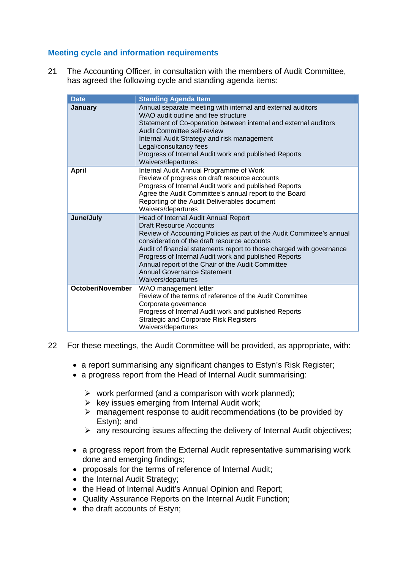#### **Meeting cycle and information requirements**

21 The Accounting Officer, in consultation with the members of Audit Committee, has agreed the following cycle and standing agenda items:

| <b>Date</b>             | <b>Standing Agenda Item</b>                                                                                                                                                                                                                                                                                                                                                                                                                 |
|-------------------------|---------------------------------------------------------------------------------------------------------------------------------------------------------------------------------------------------------------------------------------------------------------------------------------------------------------------------------------------------------------------------------------------------------------------------------------------|
| January                 | Annual separate meeting with internal and external auditors<br>WAO audit outline and fee structure<br>Statement of Co-operation between internal and external auditors<br>Audit Committee self-review<br>Internal Audit Strategy and risk management<br>Legal/consultancy fees<br>Progress of Internal Audit work and published Reports<br>Waivers/departures                                                                               |
| <b>April</b>            | Internal Audit Annual Programme of Work<br>Review of progress on draft resource accounts<br>Progress of Internal Audit work and published Reports<br>Agree the Audit Committee's annual report to the Board<br>Reporting of the Audit Deliverables document<br>Waivers/departures                                                                                                                                                           |
| June/July               | Head of Internal Audit Annual Report<br><b>Draft Resource Accounts</b><br>Review of Accounting Policies as part of the Audit Committee's annual<br>consideration of the draft resource accounts<br>Audit of financial statements report to those charged with governance<br>Progress of Internal Audit work and published Reports<br>Annual report of the Chair of the Audit Committee<br>Annual Governance Statement<br>Waivers/departures |
| <b>October/November</b> | WAO management letter<br>Review of the terms of reference of the Audit Committee<br>Corporate governance<br>Progress of Internal Audit work and published Reports<br><b>Strategic and Corporate Risk Registers</b><br>Waivers/departures                                                                                                                                                                                                    |

- 22 For these meetings, the Audit Committee will be provided, as appropriate, with:
	- a report summarising any significant changes to Estyn's Risk Register;
	- a progress report from the Head of Internal Audit summarising:
		- $\triangleright$  work performed (and a comparison with work planned);
		- $\triangleright$  key issues emerging from Internal Audit work;
		- $\triangleright$  management response to audit recommendations (to be provided by Estyn); and
		- $\triangleright$  any resourcing issues affecting the delivery of Internal Audit objectives;
	- a progress report from the External Audit representative summarising work done and emerging findings;
	- proposals for the terms of reference of Internal Audit;
	- the Internal Audit Strategy;
	- the Head of Internal Audit's Annual Opinion and Report;
	- Quality Assurance Reports on the Internal Audit Function;
	- the draft accounts of Estyn: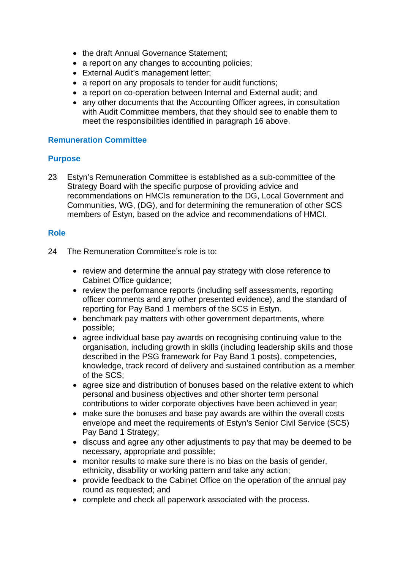- the draft Annual Governance Statement;
- a report on any changes to accounting policies;
- External Audit's management letter;
- a report on any proposals to tender for audit functions;
- a report on co-operation between Internal and External audit; and
- any other documents that the Accounting Officer agrees, in consultation with Audit Committee members, that they should see to enable them to meet the responsibilities identified in paragraph 16 above.

#### **Remuneration Committee**

#### **Purpose**

23 Estyn's Remuneration Committee is established as a sub-committee of the Strategy Board with the specific purpose of providing advice and recommendations on HMCIs remuneration to the DG, Local Government and Communities, WG, (DG), and for determining the remuneration of other SCS members of Estyn, based on the advice and recommendations of HMCI.

#### **Role**

- 24 The Remuneration Committee's role is to:
	- review and determine the annual pay strategy with close reference to Cabinet Office guidance;
	- review the performance reports (including self assessments, reporting officer comments and any other presented evidence), and the standard of reporting for Pay Band 1 members of the SCS in Estyn.
	- benchmark pay matters with other government departments, where possible;
	- agree individual base pay awards on recognising continuing value to the organisation, including growth in skills (including leadership skills and those described in the PSG framework for Pay Band 1 posts), competencies, knowledge, track record of delivery and sustained contribution as a member of the SCS;
	- agree size and distribution of bonuses based on the relative extent to which personal and business objectives and other shorter term personal contributions to wider corporate objectives have been achieved in year;
	- make sure the bonuses and base pay awards are within the overall costs envelope and meet the requirements of Estyn's Senior Civil Service (SCS) Pay Band 1 Strategy;
	- discuss and agree any other adjustments to pay that may be deemed to be necessary, appropriate and possible;
	- monitor results to make sure there is no bias on the basis of gender, ethnicity, disability or working pattern and take any action;
	- provide feedback to the Cabinet Office on the operation of the annual pay round as requested; and
	- complete and check all paperwork associated with the process.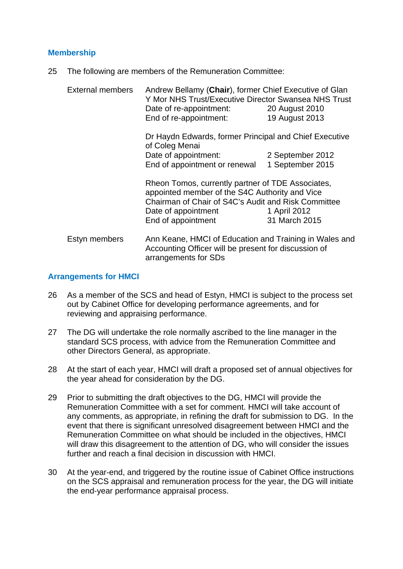#### **Membership**

25 The following are members of the Remuneration Committee:

| <b>External members</b> | Andrew Bellamy (Chair), former Chief Executive of Glan<br>Y Mor NHS Trust/Executive Director Swansea NHS Trust<br>Date of re-appointment: 20 August 2010<br>End of re-appointment: | 19 August 2013   |
|-------------------------|------------------------------------------------------------------------------------------------------------------------------------------------------------------------------------|------------------|
|                         | Dr Haydn Edwards, former Principal and Chief Executive<br>of Coleg Menai                                                                                                           |                  |
|                         | Date of appointment:                                                                                                                                                               | 2 September 2012 |
|                         | End of appointment or renewal                                                                                                                                                      | 1 September 2015 |
|                         | Rheon Tomos, currently partner of TDE Associates,<br>appointed member of the S4C Authority and Vice<br>Chairman of Chair of S4C's Audit and Risk Committee                         |                  |
|                         | Date of appointment                                                                                                                                                                | 1 April 2012     |
|                         | End of appointment                                                                                                                                                                 | 31 March 2015    |
| Estyn members           | Ann Keane, HMCI of Education and Training in Wales and<br>Accounting Officer will be present for discussion of<br>arrangements for SDs                                             |                  |

#### **Arrangements for HMCI**

- 26 As a member of the SCS and head of Estyn, HMCI is subject to the process set out by Cabinet Office for developing performance agreements, and for reviewing and appraising performance.
- 27 The DG will undertake the role normally ascribed to the line manager in the standard SCS process, with advice from the Remuneration Committee and other Directors General, as appropriate.
- 28 At the start of each year, HMCI will draft a proposed set of annual objectives for the year ahead for consideration by the DG.
- 29 Prior to submitting the draft objectives to the DG, HMCI will provide the Remuneration Committee with a set for comment. HMCI will take account of any comments, as appropriate, in refining the draft for submission to DG. In the event that there is significant unresolved disagreement between HMCI and the Remuneration Committee on what should be included in the objectives, HMCI will draw this disagreement to the attention of DG, who will consider the issues further and reach a final decision in discussion with HMCI.
- 30 At the year-end, and triggered by the routine issue of Cabinet Office instructions on the SCS appraisal and remuneration process for the year, the DG will initiate the end-year performance appraisal process.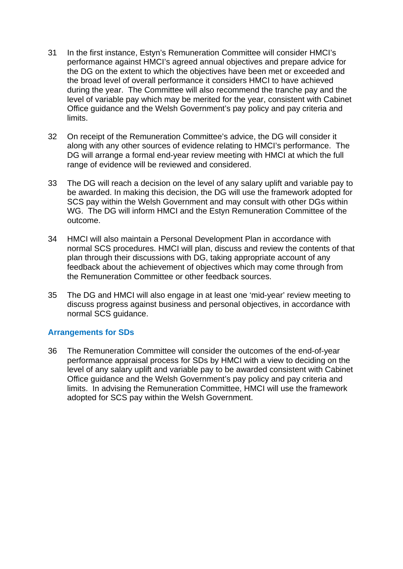- 31 In the first instance, Estyn's Remuneration Committee will consider HMCI's performance against HMCI's agreed annual objectives and prepare advice for the DG on the extent to which the objectives have been met or exceeded and the broad level of overall performance it considers HMCI to have achieved during the year. The Committee will also recommend the tranche pay and the level of variable pay which may be merited for the year, consistent with Cabinet Office guidance and the Welsh Government's pay policy and pay criteria and limits.
- 32 On receipt of the Remuneration Committee's advice, the DG will consider it along with any other sources of evidence relating to HMCI's performance. The DG will arrange a formal end-year review meeting with HMCI at which the full range of evidence will be reviewed and considered.
- 33 The DG will reach a decision on the level of any salary uplift and variable pay to be awarded. In making this decision, the DG will use the framework adopted for SCS pay within the Welsh Government and may consult with other DGs within WG. The DG will inform HMCI and the Estyn Remuneration Committee of the outcome.
- 34 HMCI will also maintain a Personal Development Plan in accordance with normal SCS procedures. HMCI will plan, discuss and review the contents of that plan through their discussions with DG, taking appropriate account of any feedback about the achievement of objectives which may come through from the Remuneration Committee or other feedback sources.
- 35 The DG and HMCI will also engage in at least one 'mid-year' review meeting to discuss progress against business and personal objectives, in accordance with normal SCS guidance.

#### **Arrangements for SDs**

36 The Remuneration Committee will consider the outcomes of the end-of-year performance appraisal process for SDs by HMCI with a view to deciding on the level of any salary uplift and variable pay to be awarded consistent with Cabinet Office guidance and the Welsh Government's pay policy and pay criteria and limits. In advising the Remuneration Committee, HMCI will use the framework adopted for SCS pay within the Welsh Government.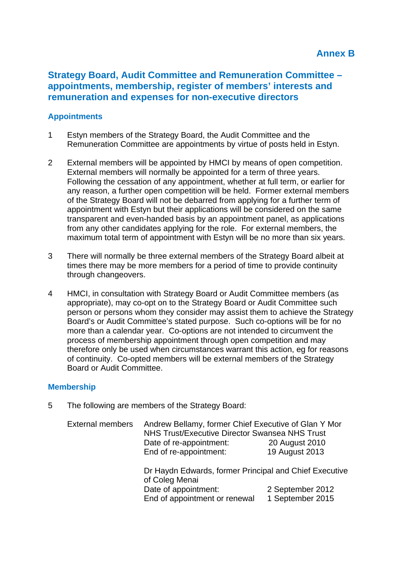## **Strategy Board, Audit Committee and Remuneration Committee – appointments, membership, register of members' interests and remuneration and expenses for non-executive directors**

#### **Appointments**

- 1 Estyn members of the Strategy Board, the Audit Committee and the Remuneration Committee are appointments by virtue of posts held in Estyn.
- 2 External members will be appointed by HMCI by means of open competition. External members will normally be appointed for a term of three years. Following the cessation of any appointment, whether at full term, or earlier for any reason, a further open competition will be held. Former external members of the Strategy Board will not be debarred from applying for a further term of appointment with Estyn but their applications will be considered on the same transparent and even-handed basis by an appointment panel, as applications from any other candidates applying for the role. For external members, the maximum total term of appointment with Estyn will be no more than six years.
- 3 There will normally be three external members of the Strategy Board albeit at times there may be more members for a period of time to provide continuity through changeovers.
- 4 HMCI, in consultation with Strategy Board or Audit Committee members (as appropriate), may co-opt on to the Strategy Board or Audit Committee such person or persons whom they consider may assist them to achieve the Strategy Board's or Audit Committee's stated purpose. Such co-options will be for no more than a calendar year. Co-options are not intended to circumvent the process of membership appointment through open competition and may therefore only be used when circumstances warrant this action, eg for reasons of continuity. Co-opted members will be external members of the Strategy Board or Audit Committee.

#### **Membership**

5 The following are members of the Strategy Board:

| <b>External members</b> | Andrew Bellamy, former Chief Executive of Glan Y Mor<br><b>NHS Trust/Executive Director Swansea NHS Trust</b> |                  |
|-------------------------|---------------------------------------------------------------------------------------------------------------|------------------|
|                         | Date of re-appointment:                                                                                       | 20 August 2010   |
|                         | End of re-appointment:                                                                                        | 19 August 2013   |
|                         | Dr Haydn Edwards, former Principal and Chief Executive<br>of Coleg Menai                                      |                  |
|                         | Date of appointment:                                                                                          | 2 September 2012 |
|                         | End of appointment or renewal                                                                                 | 1 September 2015 |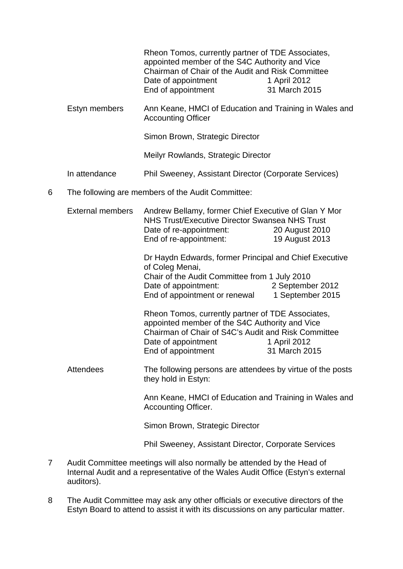|   |                         | Rheon Tomos, currently partner of TDE Associates,<br>appointed member of the S4C Authority and Vice<br>Chairman of Chair of the Audit and Risk Committee<br>Date of appointment<br>End of appointment   | 1 April 2012<br>31 March 2015        |
|---|-------------------------|---------------------------------------------------------------------------------------------------------------------------------------------------------------------------------------------------------|--------------------------------------|
|   | Estyn members           | Ann Keane, HMCI of Education and Training in Wales and<br><b>Accounting Officer</b>                                                                                                                     |                                      |
|   |                         | Simon Brown, Strategic Director                                                                                                                                                                         |                                      |
|   |                         | Meilyr Rowlands, Strategic Director                                                                                                                                                                     |                                      |
|   | In attendance           | Phil Sweeney, Assistant Director (Corporate Services)                                                                                                                                                   |                                      |
| 6 |                         | The following are members of the Audit Committee:                                                                                                                                                       |                                      |
|   | <b>External members</b> | Andrew Bellamy, former Chief Executive of Glan Y Mor<br><b>NHS Trust/Executive Director Swansea NHS Trust</b><br>Date of re-appointment:<br>End of re-appointment:                                      | 20 August 2010<br>19 August 2013     |
|   |                         | Dr Haydn Edwards, former Principal and Chief Executive<br>of Coleg Menai,<br>Chair of the Audit Committee from 1 July 2010<br>Date of appointment:<br>End of appointment or renewal                     | 2 September 2012<br>1 September 2015 |
|   |                         | Rheon Tomos, currently partner of TDE Associates,<br>appointed member of the S4C Authority and Vice<br>Chairman of Chair of S4C's Audit and Risk Committee<br>Date of appointment<br>End of appointment | 1 April 2012<br>31 March 2015        |
|   | <b>Attendees</b>        | The following persons are attendees by virtue of the posts<br>they hold in Estyn:                                                                                                                       |                                      |
|   |                         | Ann Keane, HMCI of Education and Training in Wales and<br>Accounting Officer.                                                                                                                           |                                      |
|   |                         | Simon Brown, Strategic Director                                                                                                                                                                         |                                      |
|   |                         | Phil Sweeney, Assistant Director, Corporate Services                                                                                                                                                    |                                      |
|   |                         |                                                                                                                                                                                                         |                                      |

- 7 Audit Committee meetings will also normally be attended by the Head of Internal Audit and a representative of the Wales Audit Office (Estyn's external auditors).
- 8 The Audit Committee may ask any other officials or executive directors of the Estyn Board to attend to assist it with its discussions on any particular matter.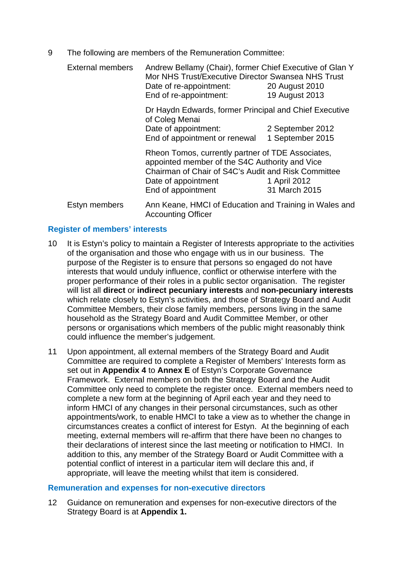9 The following are members of the Remuneration Committee:

External members Andrew Bellamy (Chair), former Chief Executive of Glan Y Mor NHS Trust/Executive Director Swansea NHS Trust Date of re-appointment: 20 August 2010 End of re-appointment: 19 August 2013

> Dr Haydn Edwards, former Principal and Chief Executive of Coleg Menai Date of appointment: 2 September 2012 End of appointment or renewal 1 September 2015

Rheon Tomos, currently partner of TDE Associates, appointed member of the S4C Authority and Vice Chairman of Chair of S4C's Audit and Risk Committee Date of appointment 1 April 2012 End of appointment 31 March 2015

Estyn members Ann Keane, HMCI of Education and Training in Wales and Accounting Officer

#### **Register of members' interests**

- 10 It is Estyn's policy to maintain a Register of Interests appropriate to the activities of the organisation and those who engage with us in our business. The purpose of the Register is to ensure that persons so engaged do not have interests that would unduly influence, conflict or otherwise interfere with the proper performance of their roles in a public sector organisation. The register will list all **direct** or **indirect pecuniary interests** and **non-pecuniary interests** which relate closely to Estyn's activities, and those of Strategy Board and Audit Committee Members, their close family members, persons living in the same household as the Strategy Board and Audit Committee Member, or other persons or organisations which members of the public might reasonably think could influence the member's judgement.
- 11 Upon appointment, all external members of the Strategy Board and Audit Committee are required to complete a Register of Members' Interests form as set out in **Appendix 4** to **Annex E** of Estyn's Corporate Governance Framework. External members on both the Strategy Board and the Audit Committee only need to complete the register once. External members need to complete a new form at the beginning of April each year and they need to inform HMCI of any changes in their personal circumstances, such as other appointments/work, to enable HMCI to take a view as to whether the change in circumstances creates a conflict of interest for Estyn. At the beginning of each meeting, external members will re-affirm that there have been no changes to their declarations of interest since the last meeting or notification to HMCI. In addition to this, any member of the Strategy Board or Audit Committee with a potential conflict of interest in a particular item will declare this and, if appropriate, will leave the meeting whilst that item is considered.

#### **Remuneration and expenses for non-executive directors**

12 Guidance on remuneration and expenses for non-executive directors of the Strategy Board is at **Appendix 1.**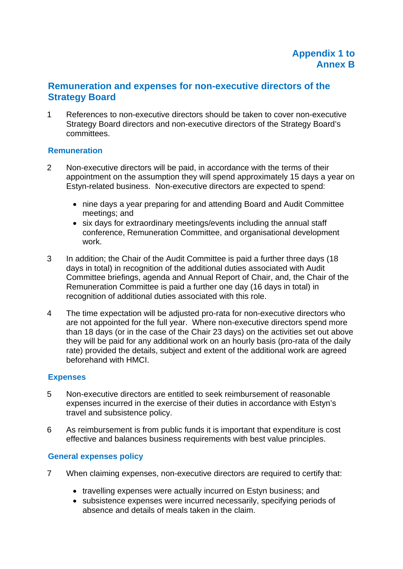## **Remuneration and expenses for non-executive directors of the Strategy Board**

1 References to non-executive directors should be taken to cover non-executive Strategy Board directors and non-executive directors of the Strategy Board's committees.

#### **Remuneration**

- 2 Non-executive directors will be paid, in accordance with the terms of their appointment on the assumption they will spend approximately 15 days a year on Estyn-related business. Non-executive directors are expected to spend:
	- nine days a year preparing for and attending Board and Audit Committee meetings; and
	- six days for extraordinary meetings/events including the annual staff conference, Remuneration Committee, and organisational development work.
- 3 In addition; the Chair of the Audit Committee is paid a further three days (18 days in total) in recognition of the additional duties associated with Audit Committee briefings, agenda and Annual Report of Chair, and, the Chair of the Remuneration Committee is paid a further one day (16 days in total) in recognition of additional duties associated with this role.
- 4 The time expectation will be adjusted pro-rata for non-executive directors who are not appointed for the full year. Where non-executive directors spend more than 18 days (or in the case of the Chair 23 days) on the activities set out above they will be paid for any additional work on an hourly basis (pro-rata of the daily rate) provided the details, subject and extent of the additional work are agreed beforehand with HMCI.

#### **Expenses**

- 5 Non-executive directors are entitled to seek reimbursement of reasonable expenses incurred in the exercise of their duties in accordance with Estyn's travel and subsistence policy.
- 6 As reimbursement is from public funds it is important that expenditure is cost effective and balances business requirements with best value principles.

#### **General expenses policy**

- 7 When claiming expenses, non-executive directors are required to certify that:
	- travelling expenses were actually incurred on Estyn business; and
	- subsistence expenses were incurred necessarily, specifying periods of absence and details of meals taken in the claim.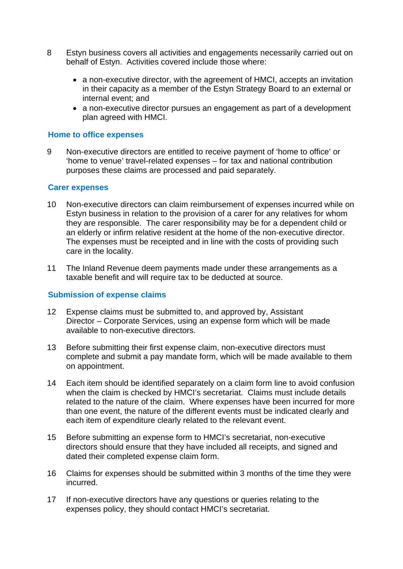- 8 Estyn business covers all activities and engagements necessarily carried out on behalf of Estyn. Activities covered include those where:
	- a non-executive director, with the agreement of HMCI, accepts an invitation in their capacity as a member of the Estyn Strategy Board to an external or internal event; and
	- a non-executive director pursues an engagement as part of a development plan agreed with HMCI.

#### **Home to office expenses**

9 Non-executive directors are entitled to receive payment of 'home to office' or 'home to venue' travel-related expenses – for tax and national contribution purposes these claims are processed and paid separately.

#### **Carer expenses**

- 10 Non-executive directors can claim reimbursement of expenses incurred while on Estyn business in relation to the provision of a carer for any relatives for whom they are responsible. The carer responsibility may be for a dependent child or an elderly or infirm relative resident at the home of the non-executive director. The expenses must be receipted and in line with the costs of providing such care in the locality.
- 11 The Inland Revenue deem payments made under these arrangements as a taxable benefit and will require tax to be deducted at source.

#### **Submission of expense claims**

- 12 Expense claims must be submitted to, and approved by, Assistant Director – Corporate Services, using an expense form which will be made available to non-executive directors.
- 13 Before submitting their first expense claim, non-executive directors must complete and submit a pay mandate form, which will be made available to them on appointment.
- 14 Each item should be identified separately on a claim form line to avoid confusion when the claim is checked by HMCI's secretariat. Claims must include details related to the nature of the claim. Where expenses have been incurred for more than one event, the nature of the different events must be indicated clearly and each item of expenditure clearly related to the relevant event.
- 15 Before submitting an expense form to HMCI's secretariat, non-executive directors should ensure that they have included all receipts, and signed and dated their completed expense claim form.
- 16 Claims for expenses should be submitted within 3 months of the time they were incurred.
- 17 If non-executive directors have any questions or queries relating to the expenses policy, they should contact HMCI's secretariat.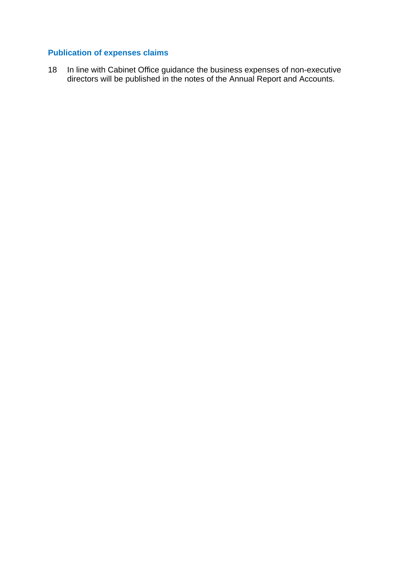## **Publication of expenses claims**

18 In line with Cabinet Office guidance the business expenses of non-executive directors will be published in the notes of the Annual Report and Accounts.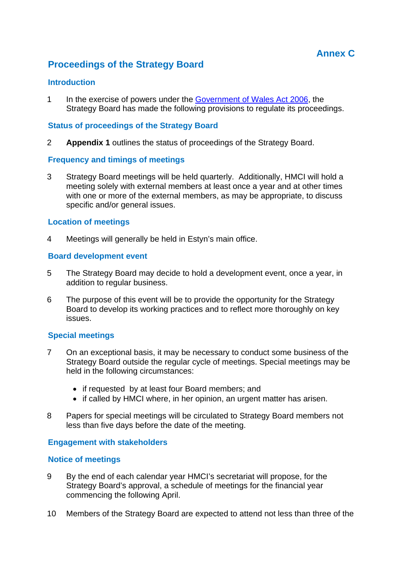## **Proceedings of the Strategy Board**

#### **Introduction**

1 In the exercise of powers under the Government of Wales Act 2006, the Strategy Board has made the following provisions to regulate its proceedings.

#### **Status of proceedings of the Strategy Board**

2 **Appendix 1** outlines the status of proceedings of the Strategy Board.

#### **Frequency and timings of meetings**

3 Strategy Board meetings will be held quarterly. Additionally, HMCI will hold a meeting solely with external members at least once a year and at other times with one or more of the external members, as may be appropriate, to discuss specific and/or general issues.

#### **Location of meetings**

4 Meetings will generally be held in Estyn's main office.

#### **Board development event**

- 5 The Strategy Board may decide to hold a development event, once a year, in addition to regular business.
- 6 The purpose of this event will be to provide the opportunity for the Strategy Board to develop its working practices and to reflect more thoroughly on key issues.

#### **Special meetings**

- 7 On an exceptional basis, it may be necessary to conduct some business of the Strategy Board outside the regular cycle of meetings. Special meetings may be held in the following circumstances:
	- if requested by at least four Board members; and
	- if called by HMCI where, in her opinion, an urgent matter has arisen.
- 8 Papers for special meetings will be circulated to Strategy Board members not less than five days before the date of the meeting.

#### **Engagement with stakeholders**

#### **Notice of meetings**

- 9 By the end of each calendar year HMCI's secretariat will propose, for the Strategy Board's approval, a schedule of meetings for the financial year commencing the following April.
- 10 Members of the Strategy Board are expected to attend not less than three of the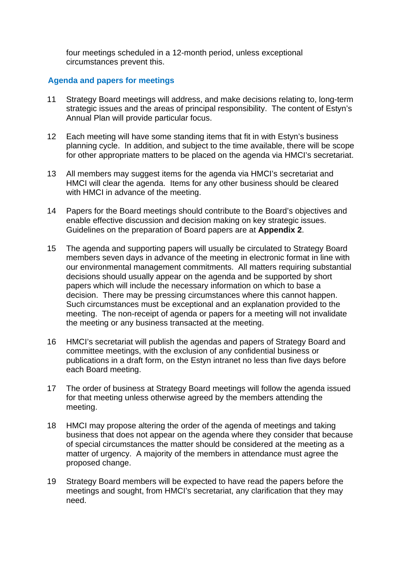four meetings scheduled in a 12-month period, unless exceptional circumstances prevent this.

#### **Agenda and papers for meetings**

- 11 Strategy Board meetings will address, and make decisions relating to, long-term strategic issues and the areas of principal responsibility. The content of Estyn's Annual Plan will provide particular focus.
- 12 Each meeting will have some standing items that fit in with Estyn's business planning cycle. In addition, and subject to the time available, there will be scope for other appropriate matters to be placed on the agenda via HMCI's secretariat.
- 13 All members may suggest items for the agenda via HMCI's secretariat and HMCI will clear the agenda. Items for any other business should be cleared with HMCI in advance of the meeting.
- 14 Papers for the Board meetings should contribute to the Board's objectives and enable effective discussion and decision making on key strategic issues. Guidelines on the preparation of Board papers are at **Appendix 2**.
- 15 The agenda and supporting papers will usually be circulated to Strategy Board members seven days in advance of the meeting in electronic format in line with our environmental management commitments. All matters requiring substantial decisions should usually appear on the agenda and be supported by short papers which will include the necessary information on which to base a decision. There may be pressing circumstances where this cannot happen. Such circumstances must be exceptional and an explanation provided to the meeting. The non-receipt of agenda or papers for a meeting will not invalidate the meeting or any business transacted at the meeting.
- 16 HMCI's secretariat will publish the agendas and papers of Strategy Board and committee meetings, with the exclusion of any confidential business or publications in a draft form, on the Estyn intranet no less than five days before each Board meeting.
- 17 The order of business at Strategy Board meetings will follow the agenda issued for that meeting unless otherwise agreed by the members attending the meeting.
- 18 HMCI may propose altering the order of the agenda of meetings and taking business that does not appear on the agenda where they consider that because of special circumstances the matter should be considered at the meeting as a matter of urgency. A majority of the members in attendance must agree the proposed change.
- 19 Strategy Board members will be expected to have read the papers before the meetings and sought, from HMCI's secretariat, any clarification that they may need.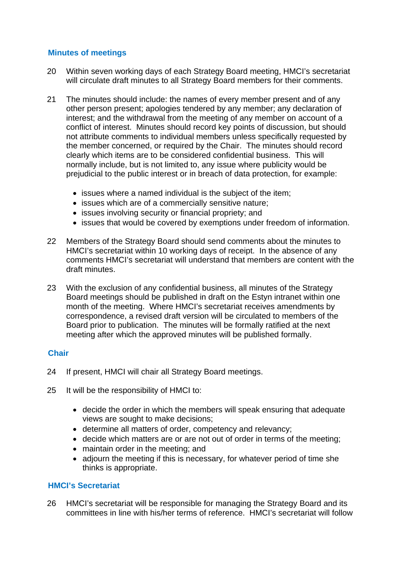#### **Minutes of meetings**

- 20 Within seven working days of each Strategy Board meeting, HMCI's secretariat will circulate draft minutes to all Strategy Board members for their comments.
- 21 The minutes should include: the names of every member present and of any other person present; apologies tendered by any member; any declaration of interest; and the withdrawal from the meeting of any member on account of a conflict of interest. Minutes should record key points of discussion, but should not attribute comments to individual members unless specifically requested by the member concerned, or required by the Chair. The minutes should record clearly which items are to be considered confidential business. This will normally include, but is not limited to, any issue where publicity would be prejudicial to the public interest or in breach of data protection, for example:
	- issues where a named individual is the subject of the item;
	- issues which are of a commercially sensitive nature;
	- issues involving security or financial propriety; and
	- issues that would be covered by exemptions under freedom of information.
- 22 Members of the Strategy Board should send comments about the minutes to HMCI's secretariat within 10 working days of receipt. In the absence of any comments HMCI's secretariat will understand that members are content with the draft minutes.
- 23 With the exclusion of any confidential business, all minutes of the Strategy Board meetings should be published in draft on the Estyn intranet within one month of the meeting. Where HMCI's secretariat receives amendments by correspondence, a revised draft version will be circulated to members of the Board prior to publication. The minutes will be formally ratified at the next meeting after which the approved minutes will be published formally.

#### **Chair**

- 24 If present, HMCI will chair all Strategy Board meetings.
- 25 It will be the responsibility of HMCI to:
	- decide the order in which the members will speak ensuring that adequate views are sought to make decisions;
	- determine all matters of order, competency and relevancy;
	- decide which matters are or are not out of order in terms of the meeting;
	- maintain order in the meeting; and
	- adjourn the meeting if this is necessary, for whatever period of time she thinks is appropriate.

#### **HMCI's Secretariat**

26 HMCI's secretariat will be responsible for managing the Strategy Board and its committees in line with his/her terms of reference. HMCI's secretariat will follow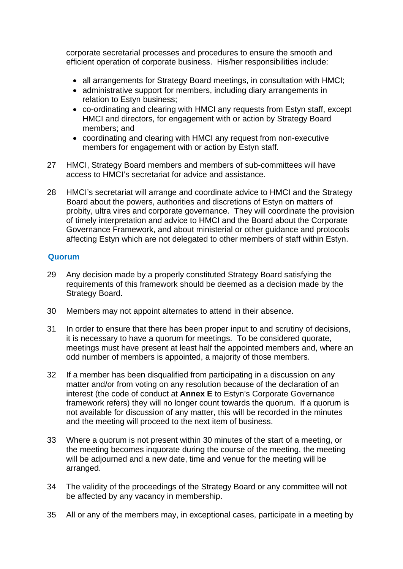corporate secretarial processes and procedures to ensure the smooth and efficient operation of corporate business. His/her responsibilities include:

- all arrangements for Strategy Board meetings, in consultation with HMCI;
- administrative support for members, including diary arrangements in relation to Estyn business;
- co-ordinating and clearing with HMCI any requests from Estyn staff, except HMCI and directors, for engagement with or action by Strategy Board members; and
- coordinating and clearing with HMCI any request from non-executive members for engagement with or action by Estyn staff.
- 27 HMCI, Strategy Board members and members of sub-committees will have access to HMCI's secretariat for advice and assistance.
- 28 HMCI's secretariat will arrange and coordinate advice to HMCI and the Strategy Board about the powers, authorities and discretions of Estyn on matters of probity, ultra vires and corporate governance. They will coordinate the provision of timely interpretation and advice to HMCI and the Board about the Corporate Governance Framework, and about ministerial or other guidance and protocols affecting Estyn which are not delegated to other members of staff within Estyn.

#### **Quorum**

- 29 Any decision made by a properly constituted Strategy Board satisfying the requirements of this framework should be deemed as a decision made by the Strategy Board.
- 30 Members may not appoint alternates to attend in their absence.
- 31 In order to ensure that there has been proper input to and scrutiny of decisions, it is necessary to have a quorum for meetings. To be considered quorate, meetings must have present at least half the appointed members and, where an odd number of members is appointed, a majority of those members.
- 32 If a member has been disqualified from participating in a discussion on any matter and/or from voting on any resolution because of the declaration of an interest (the code of conduct at **Annex E** to Estyn's Corporate Governance framework refers) they will no longer count towards the quorum. If a quorum is not available for discussion of any matter, this will be recorded in the minutes and the meeting will proceed to the next item of business.
- 33 Where a quorum is not present within 30 minutes of the start of a meeting, or the meeting becomes inquorate during the course of the meeting, the meeting will be adjourned and a new date, time and venue for the meeting will be arranged.
- 34 The validity of the proceedings of the Strategy Board or any committee will not be affected by any vacancy in membership.
- 35 All or any of the members may, in exceptional cases, participate in a meeting by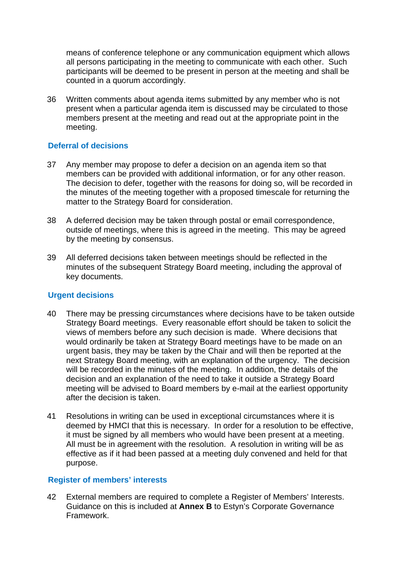means of conference telephone or any communication equipment which allows all persons participating in the meeting to communicate with each other. Such participants will be deemed to be present in person at the meeting and shall be counted in a quorum accordingly.

36 Written comments about agenda items submitted by any member who is not present when a particular agenda item is discussed may be circulated to those members present at the meeting and read out at the appropriate point in the meeting.

#### **Deferral of decisions**

- 37 Any member may propose to defer a decision on an agenda item so that members can be provided with additional information, or for any other reason. The decision to defer, together with the reasons for doing so, will be recorded in the minutes of the meeting together with a proposed timescale for returning the matter to the Strategy Board for consideration.
- 38 A deferred decision may be taken through postal or email correspondence, outside of meetings, where this is agreed in the meeting. This may be agreed by the meeting by consensus.
- 39 All deferred decisions taken between meetings should be reflected in the minutes of the subsequent Strategy Board meeting, including the approval of key documents.

#### **Urgent decisions**

- 40 There may be pressing circumstances where decisions have to be taken outside Strategy Board meetings. Every reasonable effort should be taken to solicit the views of members before any such decision is made. Where decisions that would ordinarily be taken at Strategy Board meetings have to be made on an urgent basis, they may be taken by the Chair and will then be reported at the next Strategy Board meeting, with an explanation of the urgency. The decision will be recorded in the minutes of the meeting. In addition, the details of the decision and an explanation of the need to take it outside a Strategy Board meeting will be advised to Board members by e-mail at the earliest opportunity after the decision is taken.
- 41 Resolutions in writing can be used in exceptional circumstances where it is deemed by HMCI that this is necessary. In order for a resolution to be effective, it must be signed by all members who would have been present at a meeting. All must be in agreement with the resolution. A resolution in writing will be as effective as if it had been passed at a meeting duly convened and held for that purpose.

#### **Register of members' interests**

42 External members are required to complete a Register of Members' Interests. Guidance on this is included at **Annex B** to Estyn's Corporate Governance Framework.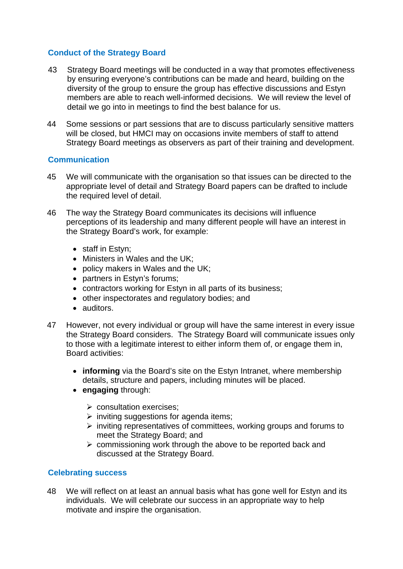#### **Conduct of the Strategy Board**

- 43 Strategy Board meetings will be conducted in a way that promotes effectiveness by ensuring everyone's contributions can be made and heard, building on the diversity of the group to ensure the group has effective discussions and Estyn members are able to reach well-informed decisions. We will review the level of detail we go into in meetings to find the best balance for us.
- 44 Some sessions or part sessions that are to discuss particularly sensitive matters will be closed, but HMCI may on occasions invite members of staff to attend Strategy Board meetings as observers as part of their training and development.

#### **Communication**

- 45 We will communicate with the organisation so that issues can be directed to the appropriate level of detail and Strategy Board papers can be drafted to include the required level of detail.
- 46 The way the Strategy Board communicates its decisions will influence perceptions of its leadership and many different people will have an interest in the Strategy Board's work, for example:
	- staff in Estyn;
	- Ministers in Wales and the UK:
	- policy makers in Wales and the UK;
	- partners in Estyn's forums:
	- contractors working for Estyn in all parts of its business;
	- other inspectorates and regulatory bodies; and
	- auditors.
- 47 However, not every individual or group will have the same interest in every issue the Strategy Board considers. The Strategy Board will communicate issues only to those with a legitimate interest to either inform them of, or engage them in, Board activities:
	- **informing** via the Board's site on the Estyn Intranet, where membership details, structure and papers, including minutes will be placed.
	- **engaging** through:
		- $\triangleright$  consultation exercises;
		- $\triangleright$  inviting suggestions for agenda items;
		- $\triangleright$  inviting representatives of committees, working groups and forums to meet the Strategy Board; and
		- $\triangleright$  commissioning work through the above to be reported back and discussed at the Strategy Board.

#### **Celebrating success**

48 We will reflect on at least an annual basis what has gone well for Estyn and its individuals. We will celebrate our success in an appropriate way to help motivate and inspire the organisation.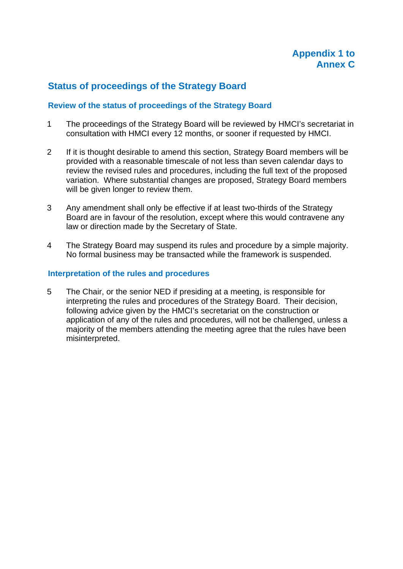## **Status of proceedings of the Strategy Board**

#### **Review of the status of proceedings of the Strategy Board**

- 1 The proceedings of the Strategy Board will be reviewed by HMCI's secretariat in consultation with HMCI every 12 months, or sooner if requested by HMCI.
- 2 If it is thought desirable to amend this section, Strategy Board members will be provided with a reasonable timescale of not less than seven calendar days to review the revised rules and procedures, including the full text of the proposed variation. Where substantial changes are proposed, Strategy Board members will be given longer to review them.
- 3 Any amendment shall only be effective if at least two-thirds of the Strategy Board are in favour of the resolution, except where this would contravene any law or direction made by the Secretary of State.
- 4 The Strategy Board may suspend its rules and procedure by a simple majority. No formal business may be transacted while the framework is suspended.

#### **Interpretation of the rules and procedures**

5 The Chair, or the senior NED if presiding at a meeting, is responsible for interpreting the rules and procedures of the Strategy Board. Their decision, following advice given by the HMCI's secretariat on the construction or application of any of the rules and procedures, will not be challenged, unless a majority of the members attending the meeting agree that the rules have been misinterpreted.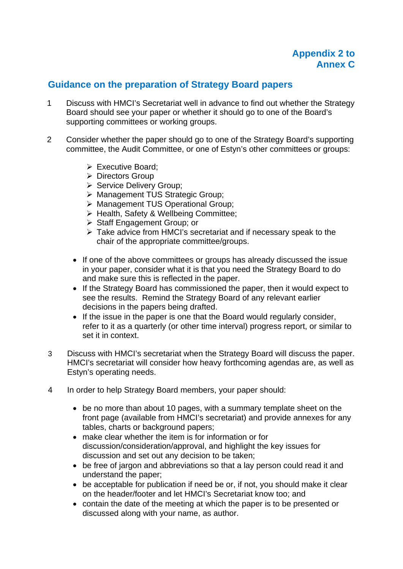## **Guidance on the preparation of Strategy Board papers**

- 1 Discuss with HMCI's Secretariat well in advance to find out whether the Strategy Board should see your paper or whether it should go to one of the Board's supporting committees or working groups.
- 2 Consider whether the paper should go to one of the Strategy Board's supporting committee, the Audit Committee, or one of Estyn's other committees or groups:
	- $\triangleright$  Executive Board:
	- ▶ Directors Group
	- Service Delivery Group;
	- > Management TUS Strategic Group;
	- Management TUS Operational Group;
	- > Health, Safety & Wellbeing Committee;
	- ▶ Staff Engagement Group: or
	- Take advice from HMCI's secretariat and if necessary speak to the chair of the appropriate committee/groups.
	- If one of the above committees or groups has already discussed the issue in your paper, consider what it is that you need the Strategy Board to do and make sure this is reflected in the paper.
	- If the Strategy Board has commissioned the paper, then it would expect to see the results. Remind the Strategy Board of any relevant earlier decisions in the papers being drafted.
	- If the issue in the paper is one that the Board would regularly consider, refer to it as a quarterly (or other time interval) progress report, or similar to set it in context.
- 3 Discuss with HMCI's secretariat when the Strategy Board will discuss the paper. HMCI's secretariat will consider how heavy forthcoming agendas are, as well as Estyn's operating needs.
- 4 In order to help Strategy Board members, your paper should:
	- be no more than about 10 pages, with a summary template sheet on the front page (available from HMCI's secretariat) and provide annexes for any tables, charts or background papers;
	- make clear whether the item is for information or for discussion/consideration/approval, and highlight the key issues for discussion and set out any decision to be taken;
	- be free of jargon and abbreviations so that a lay person could read it and understand the paper;
	- be acceptable for publication if need be or, if not, you should make it clear on the header/footer and let HMCI's Secretariat know too; and
	- contain the date of the meeting at which the paper is to be presented or discussed along with your name, as author.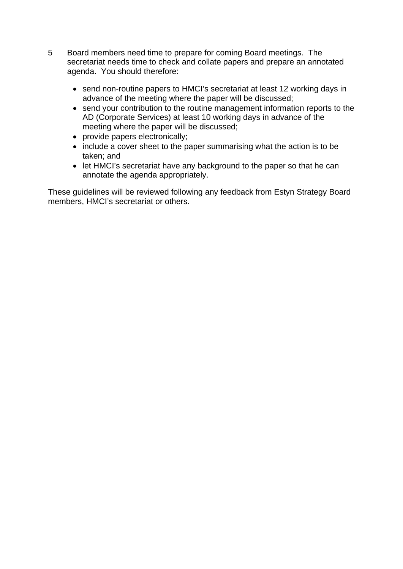- 5 Board members need time to prepare for coming Board meetings. The secretariat needs time to check and collate papers and prepare an annotated agenda. You should therefore:
	- send non-routine papers to HMCI's secretariat at least 12 working days in advance of the meeting where the paper will be discussed;
	- send your contribution to the routine management information reports to the AD (Corporate Services) at least 10 working days in advance of the meeting where the paper will be discussed;
	- provide papers electronically;
	- include a cover sheet to the paper summarising what the action is to be taken; and
	- let HMCI's secretariat have any background to the paper so that he can annotate the agenda appropriately.

These guidelines will be reviewed following any feedback from Estyn Strategy Board members, HMCI's secretariat or others.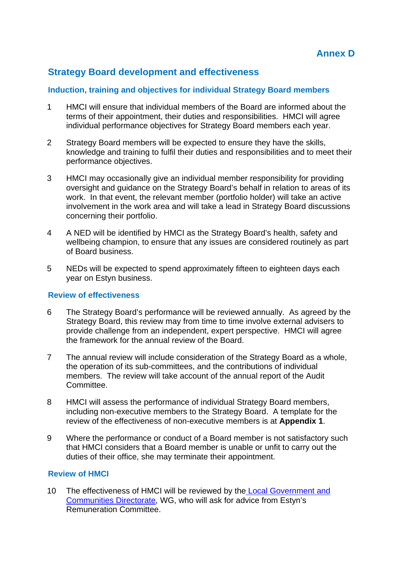## **Strategy Board development and effectiveness**

#### **Induction, training and objectives for individual Strategy Board members**

- 1 HMCI will ensure that individual members of the Board are informed about the terms of their appointment, their duties and responsibilities. HMCI will agree individual performance objectives for Strategy Board members each year.
- 2 Strategy Board members will be expected to ensure they have the skills, knowledge and training to fulfil their duties and responsibilities and to meet their performance objectives.
- 3 HMCI may occasionally give an individual member responsibility for providing oversight and guidance on the Strategy Board's behalf in relation to areas of its work. In that event, the relevant member (portfolio holder) will take an active involvement in the work area and will take a lead in Strategy Board discussions concerning their portfolio.
- 4 A NED will be identified by HMCI as the Strategy Board's health, safety and wellbeing champion, to ensure that any issues are considered routinely as part of Board business.
- 5 NEDs will be expected to spend approximately fifteen to eighteen days each year on Estyn business.

#### **Review of effectiveness**

- 6 The Strategy Board's performance will be reviewed annually. As agreed by the Strategy Board, this review may from time to time involve external advisers to provide challenge from an independent, expert perspective. HMCI will agree the framework for the annual review of the Board.
- 7 The annual review will include consideration of the Strategy Board as a whole, the operation of its sub-committees, and the contributions of individual members. The review will take account of the annual report of the Audit Committee.
- 8 HMCI will assess the performance of individual Strategy Board members, including non-executive members to the Strategy Board. A template for the review of the effectiveness of non-executive members is at **Appendix 1**.
- 9 Where the performance or conduct of a Board member is not satisfactory such that HMCI considers that a Board member is unable or unfit to carry out the duties of their office, she may terminate their appointment.

#### **Review of HMCI**

10 The effectiveness of HMCI will be reviewed by the Local Government and Communities Directorate, WG, who will ask for advice from Estyn's Remuneration Committee.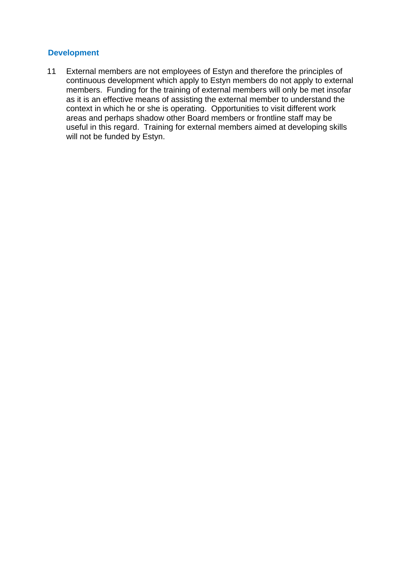#### **Development**

11 External members are not employees of Estyn and therefore the principles of continuous development which apply to Estyn members do not apply to external members. Funding for the training of external members will only be met insofar as it is an effective means of assisting the external member to understand the context in which he or she is operating. Opportunities to visit different work areas and perhaps shadow other Board members or frontline staff may be useful in this regard. Training for external members aimed at developing skills will not be funded by Estyn.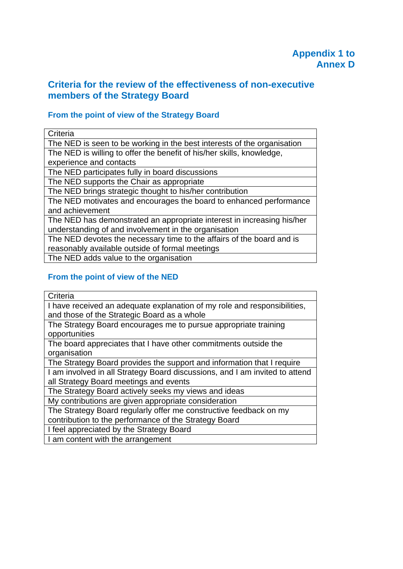## **Criteria for the review of the effectiveness of non-executive members of the Strategy Board**

## **From the point of view of the Strategy Board**

| Criteria                                                                |
|-------------------------------------------------------------------------|
| The NED is seen to be working in the best interests of the organisation |
| The NED is willing to offer the benefit of his/her skills, knowledge,   |
| experience and contacts                                                 |
| The NED participates fully in board discussions                         |
| The NED supports the Chair as appropriate                               |
| The NED brings strategic thought to his/her contribution                |
| The NED motivates and encourages the board to enhanced performance      |
| and achievement                                                         |
| The NED has demonstrated an appropriate interest in increasing his/her  |
| understanding of and involvement in the organisation                    |
| The NED devotes the necessary time to the affairs of the board and is   |
| reasonably available outside of formal meetings                         |
| The NED adds value to the organisation                                  |

#### **From the point of view of the NED**

| Criteria                                                                    |
|-----------------------------------------------------------------------------|
| I have received an adequate explanation of my role and responsibilities,    |
| and those of the Strategic Board as a whole                                 |
| The Strategy Board encourages me to pursue appropriate training             |
| opportunities                                                               |
| The board appreciates that I have other commitments outside the             |
| organisation                                                                |
| The Strategy Board provides the support and information that I require      |
| I am involved in all Strategy Board discussions, and I am invited to attend |
| all Strategy Board meetings and events                                      |
| The Strategy Board actively seeks my views and ideas                        |
| My contributions are given appropriate consideration                        |
| The Strategy Board regularly offer me constructive feedback on my           |
| contribution to the performance of the Strategy Board                       |
| I feel appreciated by the Strategy Board                                    |
| I am content with the arrangement                                           |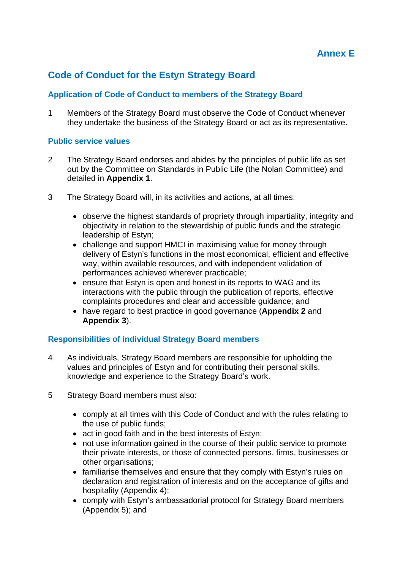## **Code of Conduct for the Estyn Strategy Board**

#### **Application of Code of Conduct to members of the Strategy Board**

1 Members of the Strategy Board must observe the Code of Conduct whenever they undertake the business of the Strategy Board or act as its representative.

#### **Public service values**

- 2 The Strategy Board endorses and abides by the principles of public life as set out by the Committee on Standards in Public Life (the Nolan Committee) and detailed in **Appendix 1**.
- 3 The Strategy Board will, in its activities and actions, at all times:
	- observe the highest standards of propriety through impartiality, integrity and objectivity in relation to the stewardship of public funds and the strategic leadership of Estyn;
	- challenge and support HMCI in maximising value for money through delivery of Estyn's functions in the most economical, efficient and effective way, within available resources, and with independent validation of performances achieved wherever practicable;
	- ensure that Estyn is open and honest in its reports to WAG and its interactions with the public through the publication of reports, effective complaints procedures and clear and accessible guidance; and
	- have regard to best practice in good governance (**Appendix 2** and **Appendix 3**).

#### **Responsibilities of individual Strategy Board members**

- 4 As individuals, Strategy Board members are responsible for upholding the values and principles of Estyn and for contributing their personal skills, knowledge and experience to the Strategy Board's work.
- 5 Strategy Board members must also:
	- comply at all times with this Code of Conduct and with the rules relating to the use of public funds;
	- act in good faith and in the best interests of Estyn;
	- not use information gained in the course of their public service to promote their private interests, or those of connected persons, firms, businesses or other organisations;
	- familiarise themselves and ensure that they comply with Estyn's rules on declaration and registration of interests and on the acceptance of gifts and hospitality (Appendix 4);
	- comply with Estyn's ambassadorial protocol for Strategy Board members (Appendix 5); and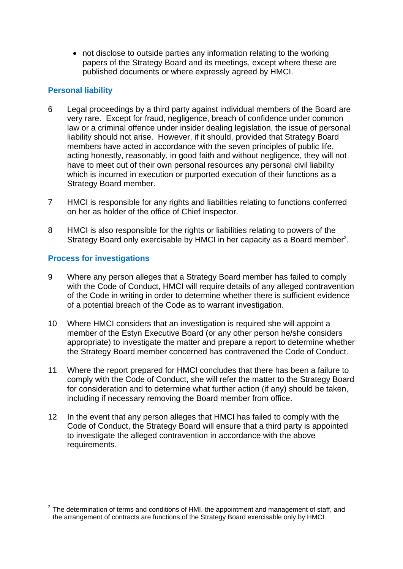not disclose to outside parties any information relating to the working papers of the Strategy Board and its meetings, except where these are published documents or where expressly agreed by HMCI.

#### **Personal liability**

- 6 Legal proceedings by a third party against individual members of the Board are very rare. Except for fraud, negligence, breach of confidence under common law or a criminal offence under insider dealing legislation, the issue of personal liability should not arise. However, if it should, provided that Strategy Board members have acted in accordance with the seven principles of public life, acting honestly, reasonably, in good faith and without negligence, they will not have to meet out of their own personal resources any personal civil liability which is incurred in execution or purported execution of their functions as a Strategy Board member.
- 7 HMCI is responsible for any rights and liabilities relating to functions conferred on her as holder of the office of Chief Inspector.
- 8 HMCI is also responsible for the rights or liabilities relating to powers of the Strategy Board only exercisable by HMCI in her capacity as a Board member<sup>2</sup>.

#### **Process for investigations**

- 9 Where any person alleges that a Strategy Board member has failed to comply with the Code of Conduct, HMCI will require details of any alleged contravention of the Code in writing in order to determine whether there is sufficient evidence of a potential breach of the Code as to warrant investigation.
- 10 Where HMCI considers that an investigation is required she will appoint a member of the Estyn Executive Board (or any other person he/she considers appropriate) to investigate the matter and prepare a report to determine whether the Strategy Board member concerned has contravened the Code of Conduct.
- 11 Where the report prepared for HMCI concludes that there has been a failure to comply with the Code of Conduct, she will refer the matter to the Strategy Board for consideration and to determine what further action (if any) should be taken, including if necessary removing the Board member from office.
- 12 In the event that any person alleges that HMCI has failed to comply with the Code of Conduct, the Strategy Board will ensure that a third party is appointed to investigate the alleged contravention in accordance with the above requirements.

 2 The determination of terms and conditions of HMI, the appointment and management of staff, and the arrangement of contracts are functions of the Strategy Board exercisable only by HMCI.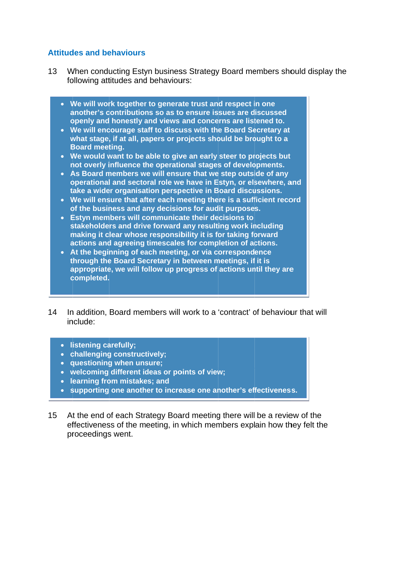#### **Attitudes and behaviours**

- 13 W following attitudes and behaviours: When conducting Estyn business Strategy Board members should display the
	- We will work together to generate trust and respect in one another's contributions so as to ensure issues are discussed **openly and honestly and views and concerns are listened to.**
	- **We will encourage staff to discuss with the Board Secretary at** what stage, if at all, papers or projects should be brought to a **Board meeting.**
	- We would want to be able to give an early steer to projects but **not overly influence the operational stages of developments.**
	- **As Board members we will ensure that we step outside of any operational and sectoral role we have in Estyn, or elsewhere, and take a wider organisation perspective in Board discussions.**
	- We will ensure that after each meeting there is a sufficient record **of the business and any decisions for audit purposes.**
	- **Estyn members will communicate their decisions to** stakeholders and drive forward any resulting work including making it clear whose responsibility it is for taking forward actions and agreeing timescales for completion of actions.
	- **•** At the beginning of each meeting, or via correspondence **through the Board Secretary in between meetings, if it is** appropriate, we will follow up progress of actions until they are **c completed.**
- $14$ in nclude: n addition, Board members will work to a 'contract' of behaviour that will
	- **l istening ca arefully;**
	- **•** challenging constructively;
	- **•** questioning when unsure;
	- welcoming different ideas or points of view;
	- **•** learning from mistakes; and
	- **•** supporting one another to increase one another's effectiveness.
- $15<sub>2</sub>$ effectiveness of the meeting, in which members explain how they felt the pr roceedings s went. t the end of each Strategy Board meeting there will be a review of the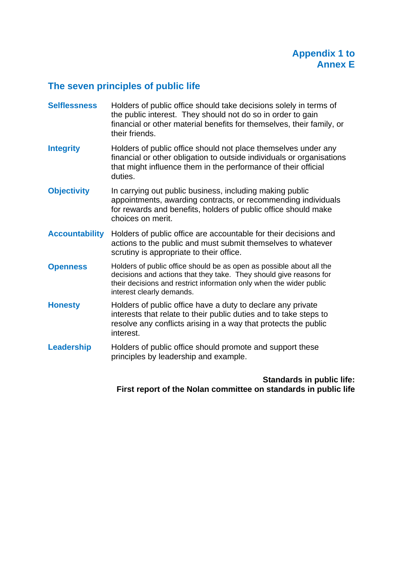## **The seven principles of public life**

- **Selflessness** Holders of public office should take decisions solely in terms of the public interest. They should not do so in order to gain financial or other material benefits for themselves, their family, or their friends.
- **Integrity** Holders of public office should not place themselves under any financial or other obligation to outside individuals or organisations that might influence them in the performance of their official duties.
- **Objectivity** In carrying out public business, including making public appointments, awarding contracts, or recommending individuals for rewards and benefits, holders of public office should make choices on merit.
- **Accountability** Holders of public office are accountable for their decisions and actions to the public and must submit themselves to whatever scrutiny is appropriate to their office.
- **Openness** Holders of public office should be as open as possible about all the decisions and actions that they take. They should give reasons for their decisions and restrict information only when the wider public interest clearly demands.
- **Honesty** Holders of public office have a duty to declare any private interests that relate to their public duties and to take steps to resolve any conflicts arising in a way that protects the public interest.
- **Leadership** Holders of public office should promote and support these principles by leadership and example.

**Standards in public life: First report of the Nolan committee on standards in public life**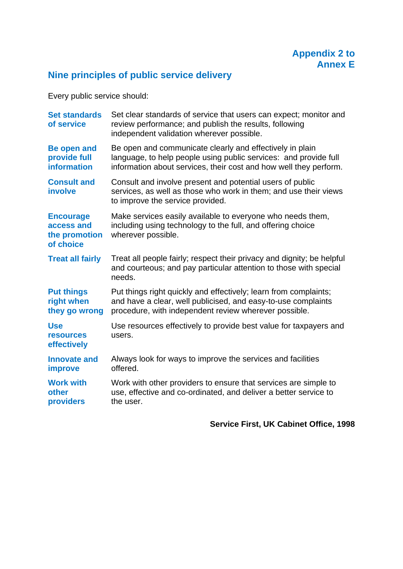

# **Nine principles of public service delivery**

Every public service should:

| <b>Set standards</b><br>of service                           | Set clear standards of service that users can expect; monitor and<br>review performance; and publish the results, following<br>independent validation wherever possible.                          |
|--------------------------------------------------------------|---------------------------------------------------------------------------------------------------------------------------------------------------------------------------------------------------|
| <b>Be open and</b><br>provide full<br><b>information</b>     | Be open and communicate clearly and effectively in plain<br>language, to help people using public services: and provide full<br>information about services, their cost and how well they perform. |
| <b>Consult and</b><br>involve                                | Consult and involve present and potential users of public<br>services, as well as those who work in them; and use their views<br>to improve the service provided.                                 |
| <b>Encourage</b><br>access and<br>the promotion<br>of choice | Make services easily available to everyone who needs them,<br>including using technology to the full, and offering choice<br>wherever possible.                                                   |
| <b>Treat all fairly</b>                                      | Treat all people fairly; respect their privacy and dignity; be helpful<br>and courteous; and pay particular attention to those with special<br>needs.                                             |
| <b>Put things</b><br>right when<br>they go wrong             | Put things right quickly and effectively; learn from complaints;<br>and have a clear, well publicised, and easy-to-use complaints<br>procedure, with independent review wherever possible.        |
| <b>Use</b><br><b>resources</b><br>effectively                | Use resources effectively to provide best value for taxpayers and<br>users.                                                                                                                       |
| <b>Innovate and</b><br>improve                               | Always look for ways to improve the services and facilities<br>offered.                                                                                                                           |
| <b>Work with</b><br>other<br>providers                       | Work with other providers to ensure that services are simple to<br>use, effective and co-ordinated, and deliver a better service to<br>the user.                                                  |

## **Service First, UK Cabinet Office, 1998**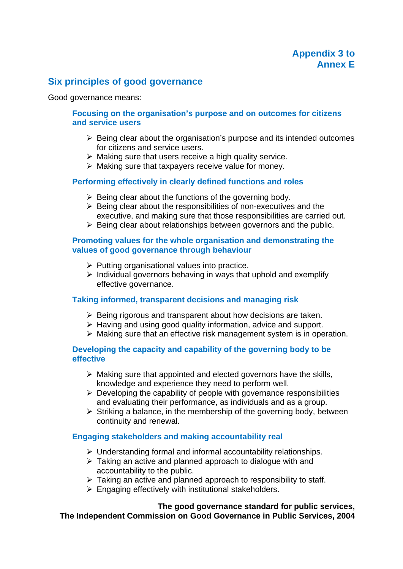## **Six principles of good governance**

Good governance means:

#### **Focusing on the organisation's purpose and on outcomes for citizens and service users**

- $\triangleright$  Being clear about the organisation's purpose and its intended outcomes for citizens and service users.
- $\triangleright$  Making sure that users receive a high quality service.
- $\triangleright$  Making sure that taxpayers receive value for money.

#### **Performing effectively in clearly defined functions and roles**

- $\triangleright$  Being clear about the functions of the governing body.
- $\triangleright$  Being clear about the responsibilities of non-executives and the executive, and making sure that those responsibilities are carried out.
- $\triangleright$  Being clear about relationships between governors and the public.

#### **Promoting values for the whole organisation and demonstrating the values of good governance through behaviour**

- $\triangleright$  Putting organisational values into practice.
- $\triangleright$  Individual governors behaving in ways that uphold and exemplify effective governance.

#### **Taking informed, transparent decisions and managing risk**

- $\triangleright$  Being rigorous and transparent about how decisions are taken.
- $\triangleright$  Having and using good quality information, advice and support.
- $\triangleright$  Making sure that an effective risk management system is in operation.

#### **Developing the capacity and capability of the governing body to be effective**

- $\triangleright$  Making sure that appointed and elected governors have the skills, knowledge and experience they need to perform well.
- $\triangleright$  Developing the capability of people with governance responsibilities and evaluating their performance, as individuals and as a group.
- $\triangleright$  Striking a balance, in the membership of the governing body, between continuity and renewal.

#### **Engaging stakeholders and making accountability real**

- $\triangleright$  Understanding formal and informal accountability relationships.
- $\triangleright$  Taking an active and planned approach to dialogue with and accountability to the public.
- $\triangleright$  Taking an active and planned approach to responsibility to staff.
- $\triangleright$  Engaging effectively with institutional stakeholders.

#### **The good governance standard for public services, The Independent Commission on Good Governance in Public Services, 2004**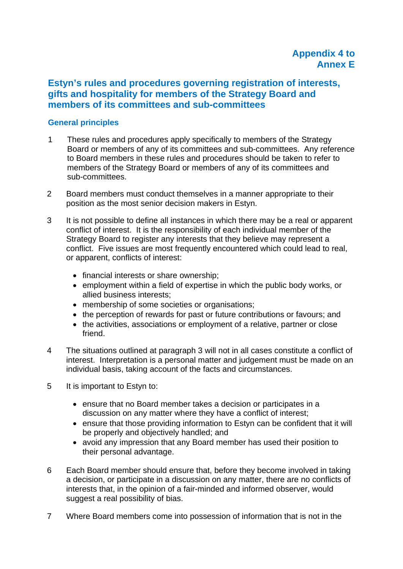## **Estyn's rules and procedures governing registration of interests, gifts and hospitality for members of the Strategy Board and members of its committees and sub-committees**

#### **General principles**

- 1 These rules and procedures apply specifically to members of the Strategy Board or members of any of its committees and sub-committees. Any reference to Board members in these rules and procedures should be taken to refer to members of the Strategy Board or members of any of its committees and sub-committees.
- 2 Board members must conduct themselves in a manner appropriate to their position as the most senior decision makers in Estyn.
- 3 It is not possible to define all instances in which there may be a real or apparent conflict of interest. It is the responsibility of each individual member of the Strategy Board to register any interests that they believe may represent a conflict. Five issues are most frequently encountered which could lead to real, or apparent, conflicts of interest:
	- financial interests or share ownership;
	- employment within a field of expertise in which the public body works, or allied business interests;
	- membership of some societies or organisations;
	- the perception of rewards for past or future contributions or favours; and
	- the activities, associations or employment of a relative, partner or close friend.
- 4 The situations outlined at paragraph 3 will not in all cases constitute a conflict of interest. Interpretation is a personal matter and judgement must be made on an individual basis, taking account of the facts and circumstances.
- 5 It is important to Estyn to:
	- ensure that no Board member takes a decision or participates in a discussion on any matter where they have a conflict of interest;
	- ensure that those providing information to Estyn can be confident that it will be properly and objectively handled; and
	- avoid any impression that any Board member has used their position to their personal advantage.
- 6 Each Board member should ensure that, before they become involved in taking a decision, or participate in a discussion on any matter, there are no conflicts of interests that, in the opinion of a fair-minded and informed observer, would suggest a real possibility of bias.
- 7 Where Board members come into possession of information that is not in the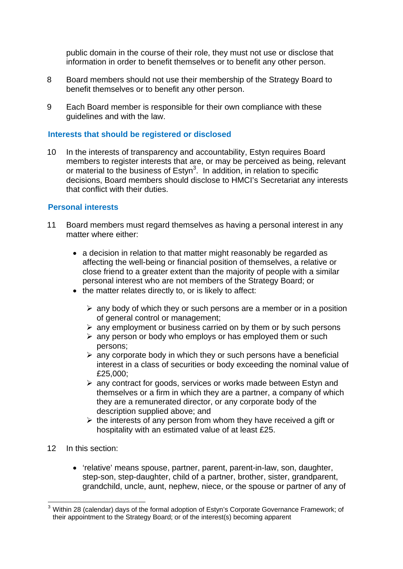public domain in the course of their role, they must not use or disclose that information in order to benefit themselves or to benefit any other person.

- 8 Board members should not use their membership of the Strategy Board to benefit themselves or to benefit any other person.
- 9 Each Board member is responsible for their own compliance with these guidelines and with the law.

#### **Interests that should be registered or disclosed**

10 In the interests of transparency and accountability, Estyn requires Board members to register interests that are, or may be perceived as being, relevant or material to the business of Estyn<sup>3</sup>. In addition, in relation to specific decisions, Board members should disclose to HMCI's Secretariat any interests that conflict with their duties.

#### **Personal interests**

- 11 Board members must regard themselves as having a personal interest in any matter where either:
	- a decision in relation to that matter might reasonably be regarded as affecting the well-being or financial position of themselves, a relative or close friend to a greater extent than the majority of people with a similar personal interest who are not members of the Strategy Board; or
	- the matter relates directly to, or is likely to affect:
		- $\triangleright$  any body of which they or such persons are a member or in a position of general control or management;
		- $\triangleright$  any employment or business carried on by them or by such persons
		- $\triangleright$  any person or body who employs or has employed them or such persons;
		- $\triangleright$  any corporate body in which they or such persons have a beneficial interest in a class of securities or body exceeding the nominal value of £25,000;
		- any contract for goods, services or works made between Estyn and themselves or a firm in which they are a partner, a company of which they are a remunerated director, or any corporate body of the description supplied above; and
		- $\triangleright$  the interests of any person from whom they have received a gift or hospitality with an estimated value of at least £25.
- 12 In this section:
	- 'relative' means spouse, partner, parent, parent-in-law, son, daughter, step-son, step-daughter, child of a partner, brother, sister, grandparent, grandchild, uncle, aunt, nephew, niece, or the spouse or partner of any of

 3 Within 28 (calendar) days of the formal adoption of Estyn's Corporate Governance Framework; of their appointment to the Strategy Board; or of the interest(s) becoming apparent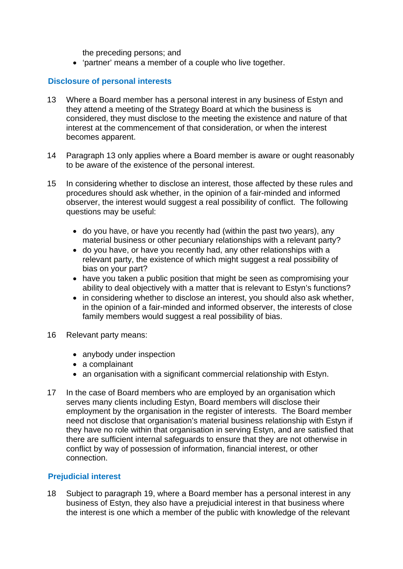the preceding persons; and

'partner' means a member of a couple who live together.

#### **Disclosure of personal interests**

- 13 Where a Board member has a personal interest in any business of Estyn and they attend a meeting of the Strategy Board at which the business is considered, they must disclose to the meeting the existence and nature of that interest at the commencement of that consideration, or when the interest becomes apparent.
- 14 Paragraph 13 only applies where a Board member is aware or ought reasonably to be aware of the existence of the personal interest.
- 15 In considering whether to disclose an interest, those affected by these rules and procedures should ask whether, in the opinion of a fair-minded and informed observer, the interest would suggest a real possibility of conflict. The following questions may be useful:
	- do you have, or have you recently had (within the past two years), any material business or other pecuniary relationships with a relevant party?
	- do you have, or have you recently had, any other relationships with a relevant party, the existence of which might suggest a real possibility of bias on your part?
	- have you taken a public position that might be seen as compromising your ability to deal objectively with a matter that is relevant to Estyn's functions?
	- in considering whether to disclose an interest, you should also ask whether, in the opinion of a fair-minded and informed observer, the interests of close family members would suggest a real possibility of bias.
- 16 Relevant party means:
	- anybody under inspection
	- a complainant
	- an organisation with a significant commercial relationship with Estyn.
- 17 In the case of Board members who are employed by an organisation which serves many clients including Estyn, Board members will disclose their employment by the organisation in the register of interests. The Board member need not disclose that organisation's material business relationship with Estyn if they have no role within that organisation in serving Estyn, and are satisfied that there are sufficient internal safeguards to ensure that they are not otherwise in conflict by way of possession of information, financial interest, or other connection.

#### **Prejudicial interest**

18 Subject to paragraph 19, where a Board member has a personal interest in any business of Estyn, they also have a prejudicial interest in that business where the interest is one which a member of the public with knowledge of the relevant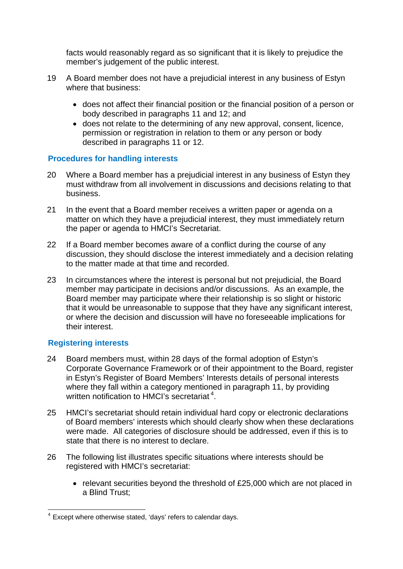facts would reasonably regard as so significant that it is likely to prejudice the member's judgement of the public interest.

- 19 A Board member does not have a prejudicial interest in any business of Estyn where that business:
	- does not affect their financial position or the financial position of a person or body described in paragraphs 11 and 12; and
	- does not relate to the determining of any new approval, consent, licence, permission or registration in relation to them or any person or body described in paragraphs 11 or 12.

#### **Procedures for handling interests**

- 20 Where a Board member has a prejudicial interest in any business of Estyn they must withdraw from all involvement in discussions and decisions relating to that business.
- 21 In the event that a Board member receives a written paper or agenda on a matter on which they have a prejudicial interest, they must immediately return the paper or agenda to HMCI's Secretariat.
- 22 If a Board member becomes aware of a conflict during the course of any discussion, they should disclose the interest immediately and a decision relating to the matter made at that time and recorded.
- 23 In circumstances where the interest is personal but not prejudicial, the Board member may participate in decisions and/or discussions. As an example, the Board member may participate where their relationship is so slight or historic that it would be unreasonable to suppose that they have any significant interest, or where the decision and discussion will have no foreseeable implications for their interest.

#### **Registering interests**

- 24 Board members must, within 28 days of the formal adoption of Estyn's Corporate Governance Framework or of their appointment to the Board, register in Estyn's Register of Board Members' Interests details of personal interests where they fall within a category mentioned in paragraph 11, by providing written notification to HMCI's secretariat<sup>4</sup>.
- 25 HMCI's secretariat should retain individual hard copy or electronic declarations of Board members' interests which should clearly show when these declarations were made. All categories of disclosure should be addressed, even if this is to state that there is no interest to declare.
- 26 The following list illustrates specific situations where interests should be registered with HMCI's secretariat:
	- relevant securities beyond the threshold of £25,000 which are not placed in a Blind Trust;

 4 Except where otherwise stated, 'days' refers to calendar days.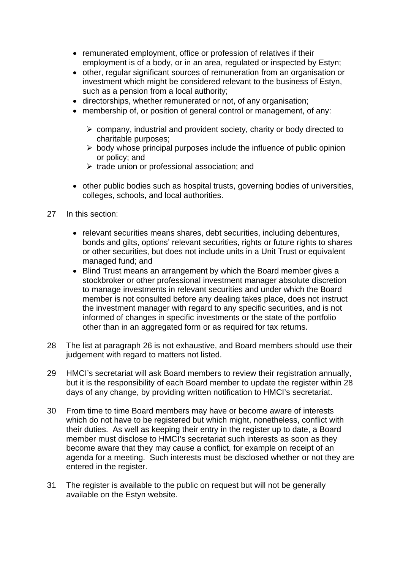- remunerated employment, office or profession of relatives if their employment is of a body, or in an area, regulated or inspected by Estyn;
- other, regular significant sources of remuneration from an organisation or investment which might be considered relevant to the business of Estyn, such as a pension from a local authority;
- directorships, whether remunerated or not, of any organisation;
- membership of, or position of general control or management, of any:
	- $\triangleright$  company, industrial and provident society, charity or body directed to charitable purposes;
	- $\triangleright$  body whose principal purposes include the influence of public opinion or policy; and
	- $\triangleright$  trade union or professional association; and
- other public bodies such as hospital trusts, governing bodies of universities, colleges, schools, and local authorities.
- 27 In this section:
	- relevant securities means shares, debt securities, including debentures, bonds and gilts, options' relevant securities, rights or future rights to shares or other securities, but does not include units in a Unit Trust or equivalent managed fund; and
	- Blind Trust means an arrangement by which the Board member gives a stockbroker or other professional investment manager absolute discretion to manage investments in relevant securities and under which the Board member is not consulted before any dealing takes place, does not instruct the investment manager with regard to any specific securities, and is not informed of changes in specific investments or the state of the portfolio other than in an aggregated form or as required for tax returns.
- 28 The list at paragraph 26 is not exhaustive, and Board members should use their judgement with regard to matters not listed.
- 29 HMCI's secretariat will ask Board members to review their registration annually, but it is the responsibility of each Board member to update the register within 28 days of any change, by providing written notification to HMCI's secretariat.
- 30 From time to time Board members may have or become aware of interests which do not have to be registered but which might, nonetheless, conflict with their duties. As well as keeping their entry in the register up to date, a Board member must disclose to HMCI's secretariat such interests as soon as they become aware that they may cause a conflict, for example on receipt of an agenda for a meeting. Such interests must be disclosed whether or not they are entered in the register.
- 31 The register is available to the public on request but will not be generally available on the Estyn website.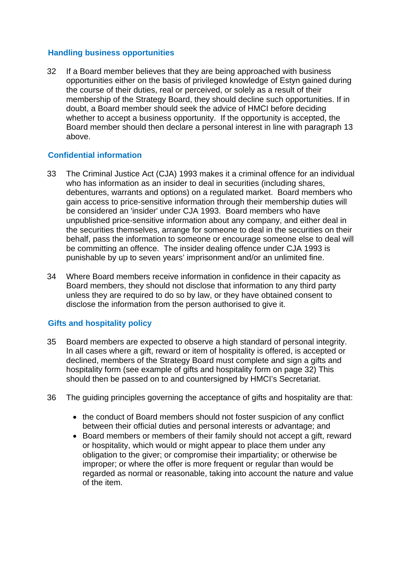#### **Handling business opportunities**

32 If a Board member believes that they are being approached with business opportunities either on the basis of privileged knowledge of Estyn gained during the course of their duties, real or perceived, or solely as a result of their membership of the Strategy Board, they should decline such opportunities. If in doubt, a Board member should seek the advice of HMCI before deciding whether to accept a business opportunity. If the opportunity is accepted, the Board member should then declare a personal interest in line with paragraph 13 above.

#### **Confidential information**

- 33 The Criminal Justice Act (CJA) 1993 makes it a criminal offence for an individual who has information as an insider to deal in securities (including shares, debentures, warrants and options) on a regulated market. Board members who gain access to price-sensitive information through their membership duties will be considered an 'insider' under CJA 1993. Board members who have unpublished price-sensitive information about any company, and either deal in the securities themselves, arrange for someone to deal in the securities on their behalf, pass the information to someone or encourage someone else to deal will be committing an offence. The insider dealing offence under CJA 1993 is punishable by up to seven years' imprisonment and/or an unlimited fine.
- 34 Where Board members receive information in confidence in their capacity as Board members, they should not disclose that information to any third party unless they are required to do so by law, or they have obtained consent to disclose the information from the person authorised to give it.

#### **Gifts and hospitality policy**

- 35 Board members are expected to observe a high standard of personal integrity. In all cases where a gift, reward or item of hospitality is offered, is accepted or declined, members of the Strategy Board must complete and sign a gifts and hospitality form (see example of gifts and hospitality form on page 32) This should then be passed on to and countersigned by HMCI's Secretariat.
- 36 The guiding principles governing the acceptance of gifts and hospitality are that:
	- the conduct of Board members should not foster suspicion of any conflict between their official duties and personal interests or advantage; and
	- Board members or members of their family should not accept a gift, reward or hospitality, which would or might appear to place them under any obligation to the giver; or compromise their impartiality; or otherwise be improper; or where the offer is more frequent or regular than would be regarded as normal or reasonable, taking into account the nature and value of the item.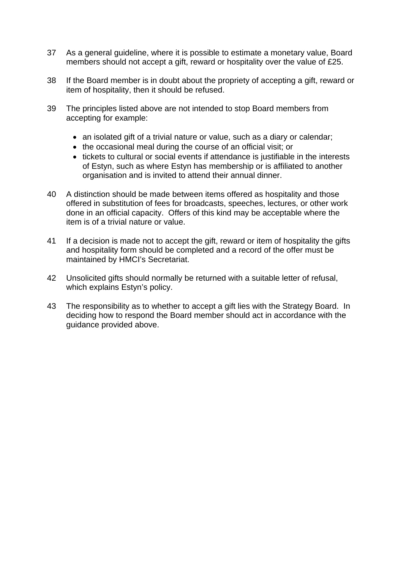- 37 As a general guideline, where it is possible to estimate a monetary value, Board members should not accept a gift, reward or hospitality over the value of £25.
- 38 If the Board member is in doubt about the propriety of accepting a gift, reward or item of hospitality, then it should be refused.
- 39 The principles listed above are not intended to stop Board members from accepting for example:
	- an isolated gift of a trivial nature or value, such as a diary or calendar;
	- the occasional meal during the course of an official visit; or
	- tickets to cultural or social events if attendance is justifiable in the interests of Estyn, such as where Estyn has membership or is affiliated to another organisation and is invited to attend their annual dinner.
- 40 A distinction should be made between items offered as hospitality and those offered in substitution of fees for broadcasts, speeches, lectures, or other work done in an official capacity. Offers of this kind may be acceptable where the item is of a trivial nature or value.
- 41 If a decision is made not to accept the gift, reward or item of hospitality the gifts and hospitality form should be completed and a record of the offer must be maintained by HMCI's Secretariat.
- 42 Unsolicited gifts should normally be returned with a suitable letter of refusal, which explains Estyn's policy.
- 43 The responsibility as to whether to accept a gift lies with the Strategy Board. In deciding how to respond the Board member should act in accordance with the guidance provided above.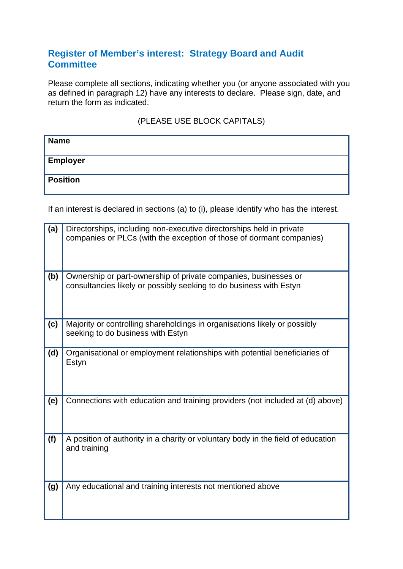## **Register of Member's interest: Strategy Board and Audit Committee**

Please complete all sections, indicating whether you (or anyone associated with you as defined in paragraph 12) have any interests to declare. Please sign, date, and return the form as indicated.

#### (PLEASE USE BLOCK CAPITALS)

| <b>Name</b>     |  |
|-----------------|--|
| <b>Employer</b> |  |
| <b>Position</b> |  |

If an interest is declared in sections (a) to (i), please identify who has the interest.

| (a) | Directorships, including non-executive directorships held in private<br>companies or PLCs (with the exception of those of dormant companies) |
|-----|----------------------------------------------------------------------------------------------------------------------------------------------|
| (b) | Ownership or part-ownership of private companies, businesses or<br>consultancies likely or possibly seeking to do business with Estyn        |
| (c) | Majority or controlling shareholdings in organisations likely or possibly<br>seeking to do business with Estyn                               |
| (d) | Organisational or employment relationships with potential beneficiaries of<br>Estyn                                                          |
| (e) | Connections with education and training providers (not included at (d) above)                                                                |
| (f) | A position of authority in a charity or voluntary body in the field of education<br>and training                                             |
| (g) | Any educational and training interests not mentioned above                                                                                   |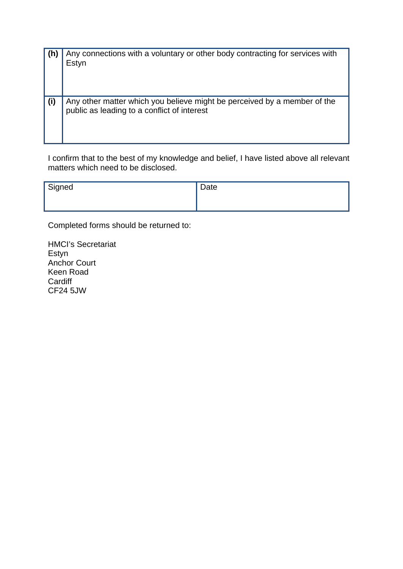| (h) | Any connections with a voluntary or other body contracting for services with<br>Estyn                                   |
|-----|-------------------------------------------------------------------------------------------------------------------------|
| (i) | Any other matter which you believe might be perceived by a member of the<br>public as leading to a conflict of interest |

I confirm that to the best of my knowledge and belief, I have listed above all relevant matters which need to be disclosed.

| Signed | Date |
|--------|------|
|        |      |

Completed forms should be returned to:

HMCI's Secretariat Estyn Anchor Court Keen Road **Cardiff** CF24 5JW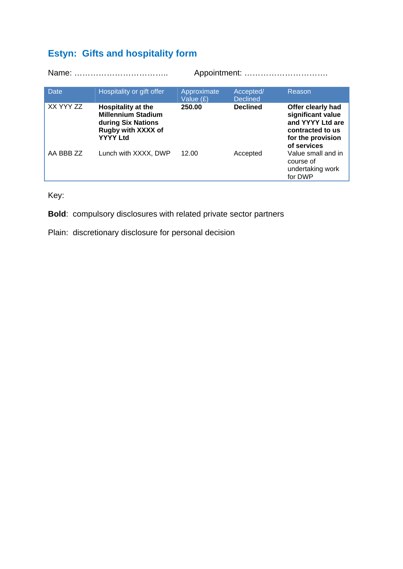# **Estyn: Gifts and hospitality form**

|             |                                                                                                                       | Appointment:             |                              |                                                                                                                    |  |
|-------------|-----------------------------------------------------------------------------------------------------------------------|--------------------------|------------------------------|--------------------------------------------------------------------------------------------------------------------|--|
| <b>Date</b> | Hospitality or gift offer                                                                                             | Approximate<br>Value (£) | Accepted/<br><b>Declined</b> | Reason                                                                                                             |  |
| XX YYY ZZ   | <b>Hospitality at the</b><br><b>Millennium Stadium</b><br>during Six Nations<br>Rugby with XXXX of<br><b>YYYY Ltd</b> | 250.00                   | <b>Declined</b>              | Offer clearly had<br>significant value<br>and YYYY Ltd are<br>contracted to us<br>for the provision<br>of services |  |
| AA BBB ZZ   | Lunch with XXXX, DWP                                                                                                  | 12.00                    | Accepted                     | Value small and in<br>course of<br>undertaking work<br>for DWP                                                     |  |

Key:

**Bold**: compulsory disclosures with related private sector partners

Plain: discretionary disclosure for personal decision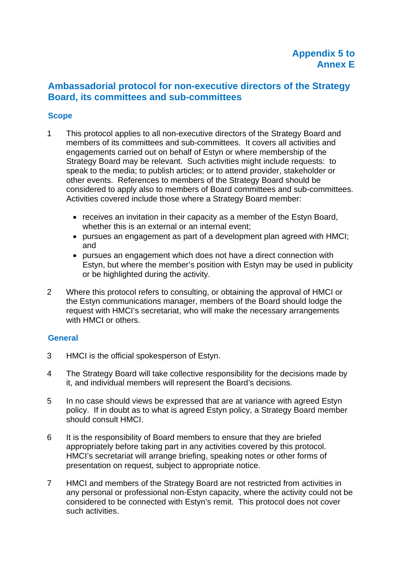## **Ambassadorial protocol for non-executive directors of the Strategy Board, its committees and sub-committees**

#### **Scope**

- 1 This protocol applies to all non-executive directors of the Strategy Board and members of its committees and sub-committees. It covers all activities and engagements carried out on behalf of Estyn or where membership of the Strategy Board may be relevant. Such activities might include requests: to speak to the media; to publish articles; or to attend provider, stakeholder or other events. References to members of the Strategy Board should be considered to apply also to members of Board committees and sub-committees. Activities covered include those where a Strategy Board member:
	- receives an invitation in their capacity as a member of the Estyn Board, whether this is an external or an internal event;
	- pursues an engagement as part of a development plan agreed with HMCI; and
	- pursues an engagement which does not have a direct connection with Estyn, but where the member's position with Estyn may be used in publicity or be highlighted during the activity.
- 2 Where this protocol refers to consulting, or obtaining the approval of HMCI or the Estyn communications manager, members of the Board should lodge the request with HMCI's secretariat, who will make the necessary arrangements with HMCI or others.

#### **General**

- 3 HMCI is the official spokesperson of Estyn.
- 4 The Strategy Board will take collective responsibility for the decisions made by it, and individual members will represent the Board's decisions.
- 5 In no case should views be expressed that are at variance with agreed Estyn policy. If in doubt as to what is agreed Estyn policy, a Strategy Board member should consult HMCI.
- 6 It is the responsibility of Board members to ensure that they are briefed appropriately before taking part in any activities covered by this protocol. HMCI's secretariat will arrange briefing, speaking notes or other forms of presentation on request, subject to appropriate notice.
- 7 HMCI and members of the Strategy Board are not restricted from activities in any personal or professional non-Estyn capacity, where the activity could not be considered to be connected with Estyn's remit. This protocol does not cover such activities.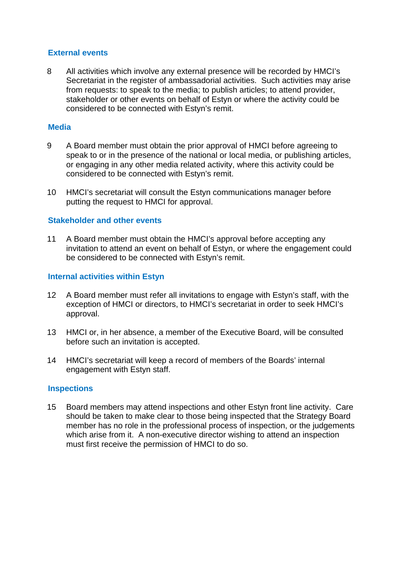#### **External events**

8 All activities which involve any external presence will be recorded by HMCI's Secretariat in the register of ambassadorial activities. Such activities may arise from requests: to speak to the media; to publish articles; to attend provider, stakeholder or other events on behalf of Estyn or where the activity could be considered to be connected with Estyn's remit.

#### **Media**

- 9 A Board member must obtain the prior approval of HMCI before agreeing to speak to or in the presence of the national or local media, or publishing articles, or engaging in any other media related activity, where this activity could be considered to be connected with Estyn's remit.
- 10 HMCI's secretariat will consult the Estyn communications manager before putting the request to HMCI for approval.

#### **Stakeholder and other events**

11 A Board member must obtain the HMCI's approval before accepting any invitation to attend an event on behalf of Estyn, or where the engagement could be considered to be connected with Estyn's remit.

#### **Internal activities within Estyn**

- 12 A Board member must refer all invitations to engage with Estyn's staff, with the exception of HMCI or directors, to HMCI's secretariat in order to seek HMCI's approval.
- 13 HMCI or, in her absence, a member of the Executive Board, will be consulted before such an invitation is accepted.
- 14 HMCI's secretariat will keep a record of members of the Boards' internal engagement with Estyn staff.

#### **Inspections**

15 Board members may attend inspections and other Estyn front line activity. Care should be taken to make clear to those being inspected that the Strategy Board member has no role in the professional process of inspection, or the judgements which arise from it. A non-executive director wishing to attend an inspection must first receive the permission of HMCI to do so.